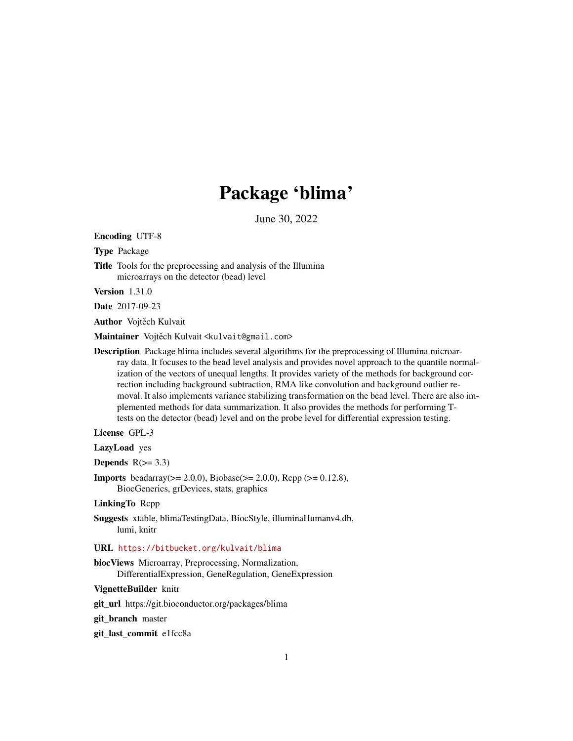# Package 'blima'

June 30, 2022

Encoding UTF-8

Type Package

Title Tools for the preprocessing and analysis of the Illumina microarrays on the detector (bead) level

Version 1.31.0

Date 2017-09-23

Author Vojtěch Kulvait

Maintainer Vojtěch Kulvait <kulvait@gmail.com>

Description Package blima includes several algorithms for the preprocessing of Illumina microarray data. It focuses to the bead level analysis and provides novel approach to the quantile normalization of the vectors of unequal lengths. It provides variety of the methods for background correction including background subtraction, RMA like convolution and background outlier removal. It also implements variance stabilizing transformation on the bead level. There are also implemented methods for data summarization. It also provides the methods for performing Ttests on the detector (bead) level and on the probe level for differential expression testing.

License GPL-3

LazyLoad yes

Depends  $R(>= 3.3)$ 

**Imports** beadarray( $>= 2.0.0$ ), Biobase( $>= 2.0.0$ ), Rcpp ( $>= 0.12.8$ ), BiocGenerics, grDevices, stats, graphics

#### LinkingTo Rcpp

Suggests xtable, blimaTestingData, BiocStyle, illuminaHumanv4.db, lumi, knitr

### URL <https://bitbucket.org/kulvait/blima>

biocViews Microarray, Preprocessing, Normalization, DifferentialExpression, GeneRegulation, GeneExpression

VignetteBuilder knitr

git\_url https://git.bioconductor.org/packages/blima

git branch master

git\_last\_commit e1fcc8a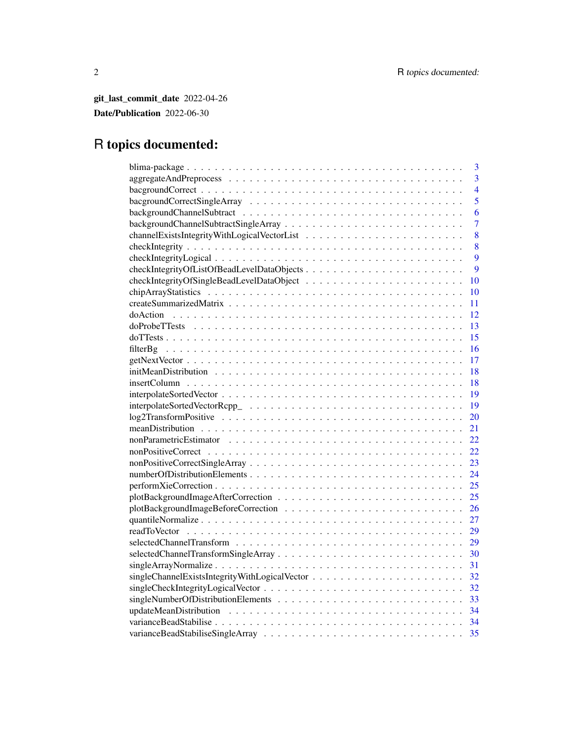git\_last\_commit\_date 2022-04-26 Date/Publication 2022-06-30

# R topics documented:

| 3                                               |
|-------------------------------------------------|
| $\overline{3}$                                  |
| $\overline{4}$                                  |
| 5                                               |
| 6                                               |
| 7                                               |
| 8                                               |
| 8                                               |
| 9                                               |
| checkIntegrityOfListOfBeadLevelDataObjects<br>9 |
| 10                                              |
| 10                                              |
| 11                                              |
| 12                                              |
| 13                                              |
| 15                                              |
| 16                                              |
| 17                                              |
| 18                                              |
| 18                                              |
| 19                                              |
| 19                                              |
| 20                                              |
| 21                                              |
| 22                                              |
| 22                                              |
| 23                                              |
| 24                                              |
| 25                                              |
| 25                                              |
| 26                                              |
| 27                                              |
| 29                                              |
| 29                                              |
| 30                                              |
| 31                                              |
| 32                                              |
| 32                                              |
| 33                                              |
| 34                                              |
| 34                                              |
| 35                                              |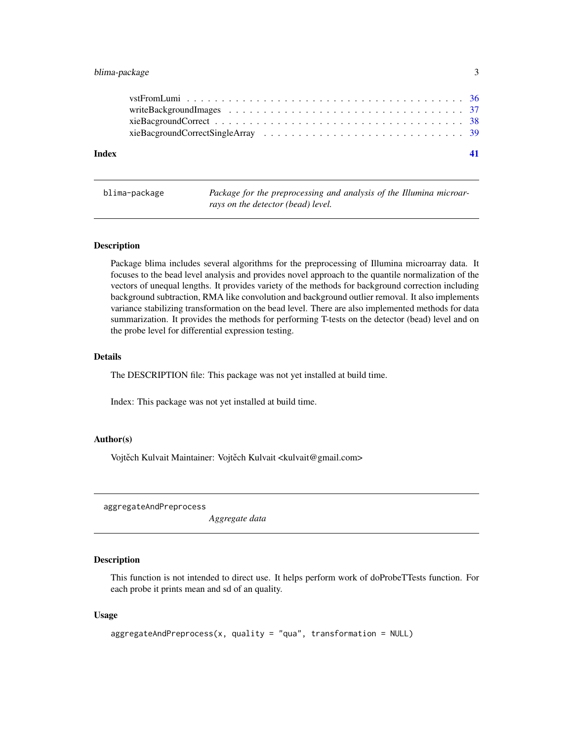# <span id="page-2-0"></span>blima-package 3

| Index |  |
|-------|--|
|       |  |
|       |  |
|       |  |
|       |  |
|       |  |

| blima-package |
|---------------|
|               |

Package for the preprocessing and analysis of the Illumina microar*rays on the detector (bead) level.*

#### Description

Package blima includes several algorithms for the preprocessing of Illumina microarray data. It focuses to the bead level analysis and provides novel approach to the quantile normalization of the vectors of unequal lengths. It provides variety of the methods for background correction including background subtraction, RMA like convolution and background outlier removal. It also implements variance stabilizing transformation on the bead level. There are also implemented methods for data summarization. It provides the methods for performing T-tests on the detector (bead) level and on the probe level for differential expression testing.

# Details

The DESCRIPTION file: This package was not yet installed at build time.

Index: This package was not yet installed at build time.

#### Author(s)

Vojtěch Kulvait Maintainer: Vojtěch Kulvait <kulvait@gmail.com>

aggregateAndPreprocess

*Aggregate data*

#### Description

This function is not intended to direct use. It helps perform work of doProbeTTests function. For each probe it prints mean and sd of an quality.

```
aggregateAndPreprocess(x, quality = "qua", transformation = NULL)
```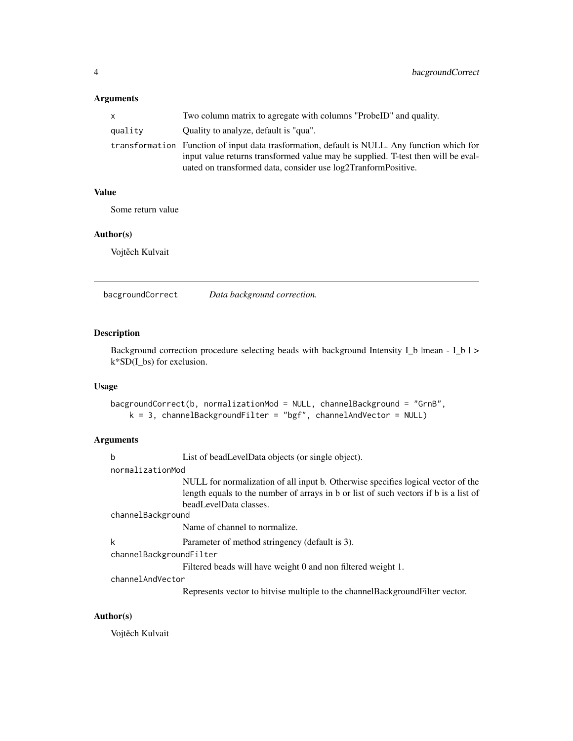# <span id="page-3-0"></span>Arguments

| x.      | Two column matrix to agregate with columns "ProbeID" and quality.                                                                                                                                                                                 |
|---------|---------------------------------------------------------------------------------------------------------------------------------------------------------------------------------------------------------------------------------------------------|
| quality | Ouality to analyze, default is "qua".                                                                                                                                                                                                             |
|         | transformation Function of input data trasformation, default is NULL. Any function which for<br>input value returns transformed value may be supplied. T-test then will be eval-<br>uated on transformed data, consider use log2TranformPositive. |

# Value

Some return value

# Author(s)

Vojtěch Kulvait

bacgroundCorrect *Data background correction.*

# Description

Background correction procedure selecting beads with background Intensity I\_b |mean - I\_b | > k\*SD(I\_bs) for exclusion.

### Usage

```
bacgroundCorrect(b, normalizationMod = NULL, channelBackground = "GrnB",
   k = 3, channelBackgroundFilter = "bgf", channelAndVector = NULL)
```
# Arguments

| b                       | List of bead Level Data objects (or single object).                                  |  |
|-------------------------|--------------------------------------------------------------------------------------|--|
| normalizationMod        |                                                                                      |  |
|                         | NULL for normalization of all input b. Otherwise specifies logical vector of the     |  |
|                         | length equals to the number of arrays in b or list of such vectors if b is a list of |  |
|                         | beadLevelData classes.                                                               |  |
| channelBackground       |                                                                                      |  |
|                         | Name of channel to normalize.                                                        |  |
| k                       | Parameter of method stringency (default is 3).                                       |  |
| channelBackgroundFilter |                                                                                      |  |
|                         | Filtered beads will have weight 0 and non filtered weight 1.                         |  |
| channelAndVector        |                                                                                      |  |

Represents vector to bitvise multiple to the channelBackgroundFilter vector.

# Author(s)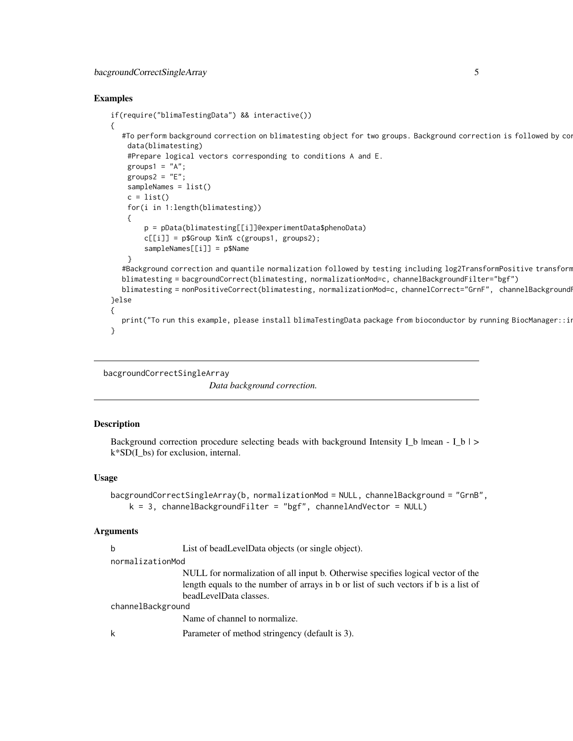# <span id="page-4-0"></span>bacgroundCorrectSingleArray 5

#### Examples

```
if(require("blimaTestingData") && interactive())
{
  #To perform background correction on blimatesting object for two groups. Background correction is followed by co
   data(blimatesting)
   #Prepare logical vectors corresponding to conditions A and E.
   groups1 = "A";
   groups2 = "E";sampleNames = list()
   c = list()for(i in 1:length(blimatesting))
    {
        p = pData(blimatesting[[i]]@experimentData$phenoData)
        c[[i]] = p$Group %in% c(groups1, groups2);sampleNames[[i]] = p$Name
    }
  #Background correction and quantile normalization followed by testing including log2TransformPositive transform
  blimatesting = bacgroundCorrect(blimatesting, normalizationMod=c, channelBackgroundFilter="bgf")
  blimatesting = nonPositiveCorrect(blimatesting, normalizationMod=c, channelCorrect="GrnF", channelBackground
}else
{
  print("To run this example, please install blimaTestingData package from bioconductor by running BiocManager::in
}
```

```
bacgroundCorrectSingleArray
```
*Data background correction.*

#### Description

Background correction procedure selecting beads with background Intensity I\_b |mean - I\_b |  $>$ k\*SD(I\_bs) for exclusion, internal.

#### Usage

```
bacgroundCorrectSingleArray(b, normalizationMod = NULL, channelBackground = "GrnB",
    k = 3, channelBackgroundFilter = "bgf", channelAndVector = NULL)
```
#### Arguments

|                   | b | List of bead Level Data objects (or single object).                                  |
|-------------------|---|--------------------------------------------------------------------------------------|
| normalizationMod  |   |                                                                                      |
|                   |   | NULL for normalization of all input b. Otherwise specifies logical vector of the     |
|                   |   | length equals to the number of arrays in b or list of such vectors if b is a list of |
|                   |   | beadLevelData classes.                                                               |
| channelBackground |   |                                                                                      |
|                   |   | Name of channel to normalize.                                                        |
|                   |   | Parameter of method stringency (default is 3).                                       |
|                   |   |                                                                                      |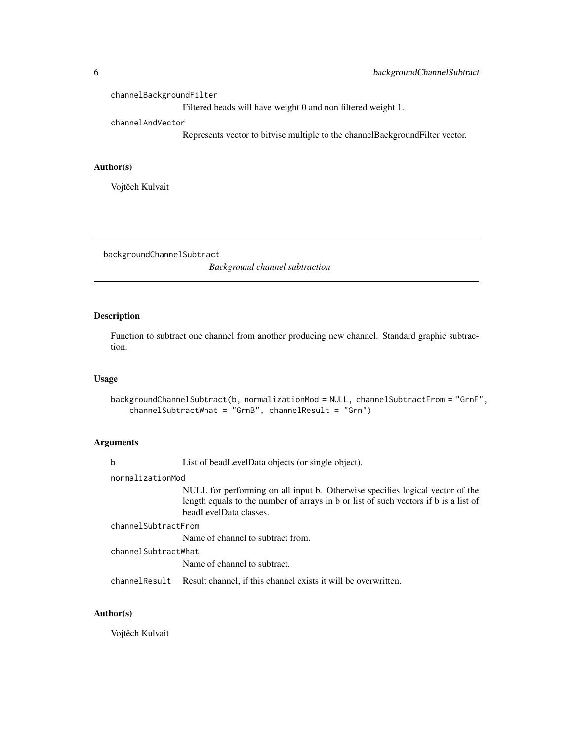<span id="page-5-0"></span>channelBackgroundFilter

Filtered beads will have weight 0 and non filtered weight 1.

channelAndVector

Represents vector to bitvise multiple to the channelBackgroundFilter vector.

#### Author(s)

Vojtěch Kulvait

backgroundChannelSubtract

*Background channel subtraction*

#### Description

Function to subtract one channel from another producing new channel. Standard graphic subtraction.

#### Usage

```
backgroundChannelSubtract(b, normalizationMod = NULL, channelSubtractFrom = "GrnF",
    channelSubtractWhat = "GrnB", channelResult = "Grn")
```
#### Arguments

b List of beadLevelData objects (or single object).

normalizationMod

NULL for performing on all input b. Otherwise specifies logical vector of the length equals to the number of arrays in b or list of such vectors if b is a list of beadLevelData classes.

channelSubtractFrom

Name of channel to subtract from.

channelSubtractWhat

Name of channel to subtract.

channelResult Result channel, if this channel exists it will be overwritten.

# Author(s)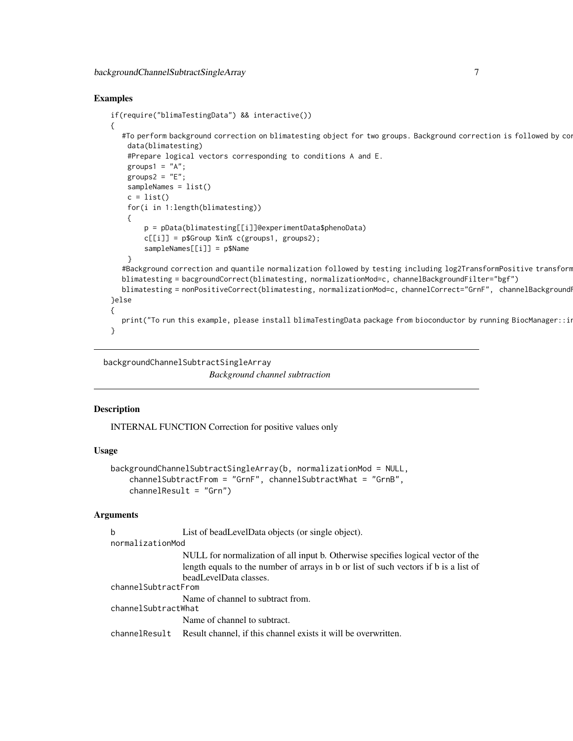#### <span id="page-6-0"></span>Examples

```
if(require("blimaTestingData") && interactive())
{
  #To perform background correction on blimatesting object for two groups. Background correction is followed by co
   data(blimatesting)
   #Prepare logical vectors corresponding to conditions A and E.
   groups1 = "A";
   groups2 = "E";sampleNames = list()
   c = list()for(i in 1:length(blimatesting))
    {
        p = pData(blimatesting[[i]]@experimentData$phenoData)
        c[[i]] = p$Group %in% c(groups1, groups2);sampleNames[[i]] = p$Name
    }
  #Background correction and quantile normalization followed by testing including log2TransformPositive transform
  blimatesting = bacgroundCorrect(blimatesting, normalizationMod=c, channelBackgroundFilter="bgf")
  blimatesting = nonPositiveCorrect(blimatesting, normalizationMod=c, channelCorrect="GrnF", channelBackground
}else
{
  print("To run this example, please install blimaTestingData package from bioconductor by running BiocManager::in
}
```
backgroundChannelSubtractSingleArray *Background channel subtraction*

#### **Description**

INTERNAL FUNCTION Correction for positive values only

#### Usage

```
backgroundChannelSubtractSingleArray(b, normalizationMod = NULL,
    channelSubtractFrom = "GrnF", channelSubtractWhat = "GrnB",
    channelResult = "Grn")
```
# Arguments

| b                   | List of bead Level Data objects (or single object).                                  |
|---------------------|--------------------------------------------------------------------------------------|
| normalizationMod    |                                                                                      |
|                     | NULL for normalization of all input b. Otherwise specifies logical vector of the     |
|                     | length equals to the number of arrays in b or list of such vectors if b is a list of |
|                     | beadLevelData classes.                                                               |
| channelSubtractFrom |                                                                                      |
|                     | Name of channel to subtract from.                                                    |
| channelSubtractWhat |                                                                                      |
|                     | Name of channel to subtract.                                                         |
| channelResult       | Result channel, if this channel exists it will be overwritten.                       |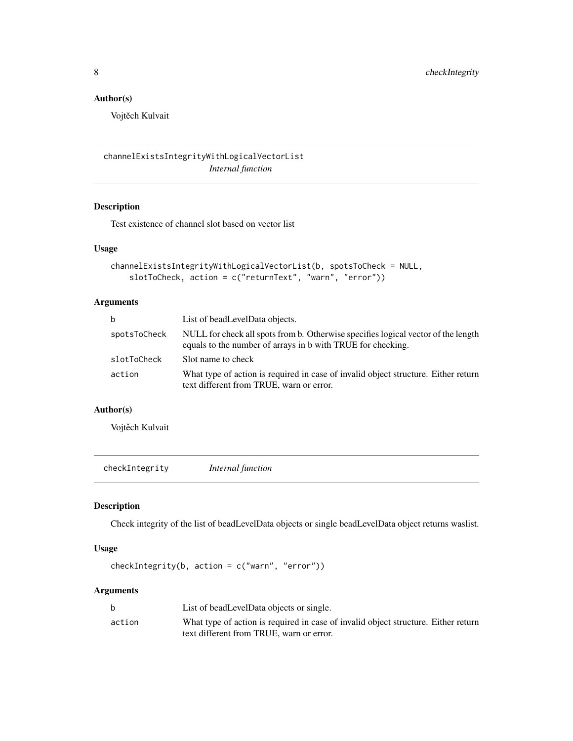# <span id="page-7-0"></span>Author(s)

Vojtěch Kulvait

channelExistsIntegrityWithLogicalVectorList *Internal function*

# Description

Test existence of channel slot based on vector list

# Usage

```
channelExistsIntegrityWithLogicalVectorList(b, spotsToCheck = NULL,
   slotToCheck, action = c("returnText", "warn", "error"))
```
# Arguments

| b            | List of beadLevelData objects.                                                                                                                   |
|--------------|--------------------------------------------------------------------------------------------------------------------------------------------------|
| spotsToCheck | NULL for check all spots from b. Otherwise specifies logical vector of the length<br>equals to the number of arrays in b with TRUE for checking. |
| slotToCheck  | Sot name to check                                                                                                                                |
| action       | What type of action is required in case of invalid object structure. Either return<br>text different from TRUE, warn or error.                   |

## Author(s)

Vojtěch Kulvait

checkIntegrity *Internal function*

# Description

Check integrity of the list of beadLevelData objects or single beadLevelData object returns waslist.

#### Usage

```
checkIntegrity(b, action = c("warn", "error"))
```
# Arguments

|        | List of bead Level Data objects or single.                                                                                     |
|--------|--------------------------------------------------------------------------------------------------------------------------------|
| action | What type of action is required in case of invalid object structure. Either return<br>text different from TRUE, warn or error. |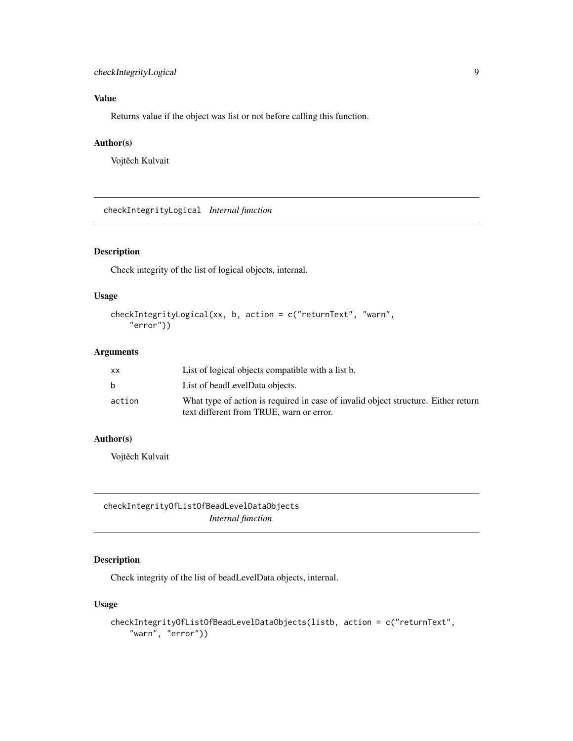# <span id="page-8-0"></span>Value

Returns value if the object was list or not before calling this function.

#### Author(s)

Vojtěch Kulvait

checkIntegrityLogical *Internal function*

# Description

Check integrity of the list of logical objects, internal.

#### Usage

```
checkIntegrityLogical(xx, b, action = c("returnText", "warn",
    "error"))
```
### Arguments

| xх     | List of logical objects compatible with a list b.                                  |
|--------|------------------------------------------------------------------------------------|
| b.     | List of bead Level Data objects.                                                   |
| action | What type of action is required in case of invalid object structure. Either return |
|        | text different from TRUE, warn or error.                                           |

#### Author(s)

Vojtěch Kulvait

checkIntegrityOfListOfBeadLevelDataObjects *Internal function*

# Description

Check integrity of the list of beadLevelData objects, internal.

```
checkIntegrityOfListOfBeadLevelDataObjects(listb, action = c("returnText",
    "warn", "error"))
```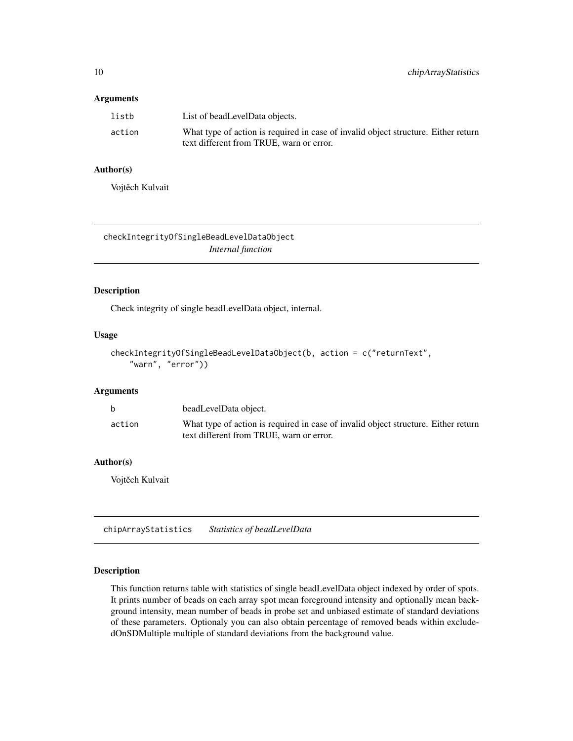#### <span id="page-9-0"></span>Arguments

| listb  | List of bead Level Data objects.                                                                                               |
|--------|--------------------------------------------------------------------------------------------------------------------------------|
| action | What type of action is required in case of invalid object structure. Either return<br>text different from TRUE, warn or error. |

# Author(s)

Vojtěch Kulvait

checkIntegrityOfSingleBeadLevelDataObject *Internal function*

# Description

Check integrity of single beadLevelData object, internal.

#### Usage

```
checkIntegrityOfSingleBeadLevelDataObject(b, action = c("returnText",
    "warn", "error"))
```
# Arguments

| b.     | beadLevelData object.                                                                                                          |
|--------|--------------------------------------------------------------------------------------------------------------------------------|
| action | What type of action is required in case of invalid object structure. Either return<br>text different from TRUE, warn or error. |

#### Author(s)

Vojtěch Kulvait

chipArrayStatistics *Statistics of beadLevelData*

# Description

This function returns table with statistics of single beadLevelData object indexed by order of spots. It prints number of beads on each array spot mean foreground intensity and optionally mean background intensity, mean number of beads in probe set and unbiased estimate of standard deviations of these parameters. Optionaly you can also obtain percentage of removed beads within excludedOnSDMultiple multiple of standard deviations from the background value.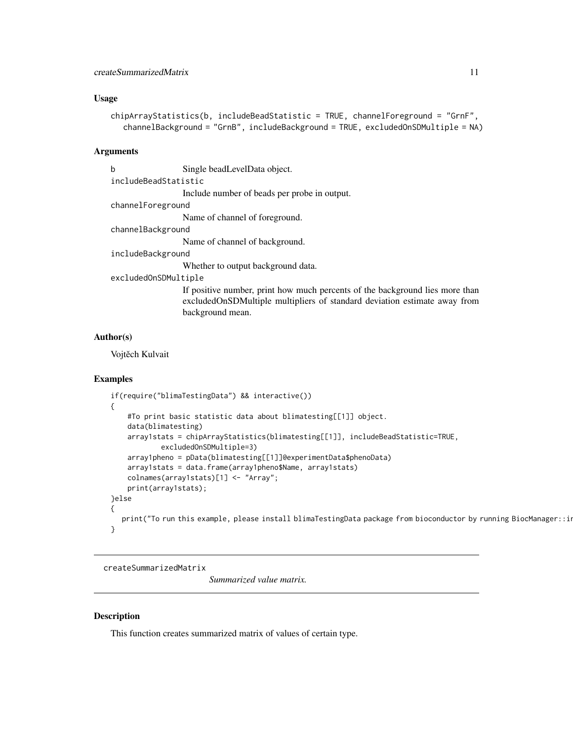#### <span id="page-10-0"></span>Usage

```
chipArrayStatistics(b, includeBeadStatistic = TRUE, channelForeground = "GrnF",
  channelBackground = "GrnB", includeBackground = TRUE, excludedOnSDMultiple = NA)
```
#### Arguments

b Single beadLevelData object. includeBeadStatistic

Include number of beads per probe in output.

channelForeground

Name of channel of foreground.

#### channelBackground

Name of channel of background.

#### includeBackground

Whether to output background data.

# excludedOnSDMultiple

If positive number, print how much percents of the background lies more than excludedOnSDMultiple multipliers of standard deviation estimate away from background mean.

#### Author(s)

Vojtěch Kulvait

#### Examples

```
if(require("blimaTestingData") && interactive())
{
    #To print basic statistic data about blimatesting[[1]] object.
    data(blimatesting)
    array1stats = chipArrayStatistics(blimatesting[[1]], includeBeadStatistic=TRUE,
            excludedOnSDMultiple=3)
    array1pheno = pData(blimatesting[[1]]@experimentData$phenoData)
   array1stats = data.frame(array1pheno$Name, array1stats)
   colnames(array1stats)[1] <- "Array";
    print(array1stats);
}else
{
  print("To run this example, please install blimaTestingData package from bioconductor by running BiocManager::in
}
```
createSummarizedMatrix

*Summarized value matrix.*

#### **Description**

This function creates summarized matrix of values of certain type.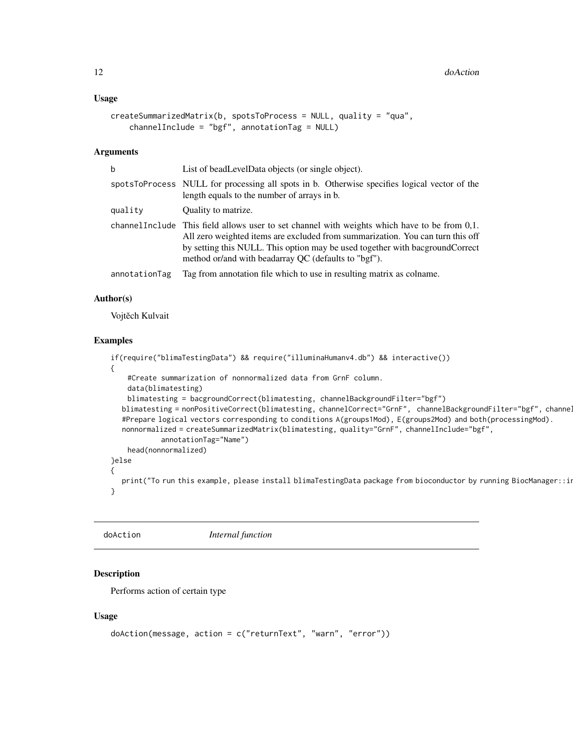#### <span id="page-11-0"></span>Usage

```
createSummarizedMatrix(b, spotsToProcess = NULL, quality = "qua",
    channelInclude = "bgf", annotationTag = NULL)
```
# Arguments

| b             | List of bead LevelData objects (or single object).                                                                                                                                                                                                                                                                       |
|---------------|--------------------------------------------------------------------------------------------------------------------------------------------------------------------------------------------------------------------------------------------------------------------------------------------------------------------------|
|               | spotsToProcess NULL for processing all spots in b. Otherwise specifies logical vector of the<br>length equals to the number of arrays in b.                                                                                                                                                                              |
| qualitv       | Quality to matrize.                                                                                                                                                                                                                                                                                                      |
|               | channel Include This field allows user to set channel with weights which have to be from 0,1.<br>All zero weighted items are excluded from summarization. You can turn this off<br>by setting this NULL. This option may be used together with bacground Correct<br>method or/and with beadarray QC (defaults to "bgf"). |
| annotationTag | Tag from annotation file which to use in resulting matrix as colname.                                                                                                                                                                                                                                                    |

### Author(s)

Vojtěch Kulvait

#### Examples

```
if(require("blimaTestingData") && require("illuminaHumanv4.db") && interactive())
{
    #Create summarization of nonnormalized data from GrnF column.
    data(blimatesting)
   blimatesting = bacgroundCorrect(blimatesting, channelBackgroundFilter="bgf")
  blimatesting = nonPositiveCorrect(blimatesting, channelCorrect="GrnF", channelBackgroundFilter="bgf", channe.
  #Prepare logical vectors corresponding to conditions A(groups1Mod), E(groups2Mod) and both(processingMod).
  nonnormalized = createSummarizedMatrix(blimatesting, quality="GrnF", channelInclude="bgf",
            annotationTag="Name")
    head(nonnormalized)
}else
{
  print("To run this example, please install blimaTestingData package from bioconductor by running BiocManager::in
}
```
doAction *Internal function*

# Description

Performs action of certain type

```
doAction(message, action = c("returnText", "warn", "error"))
```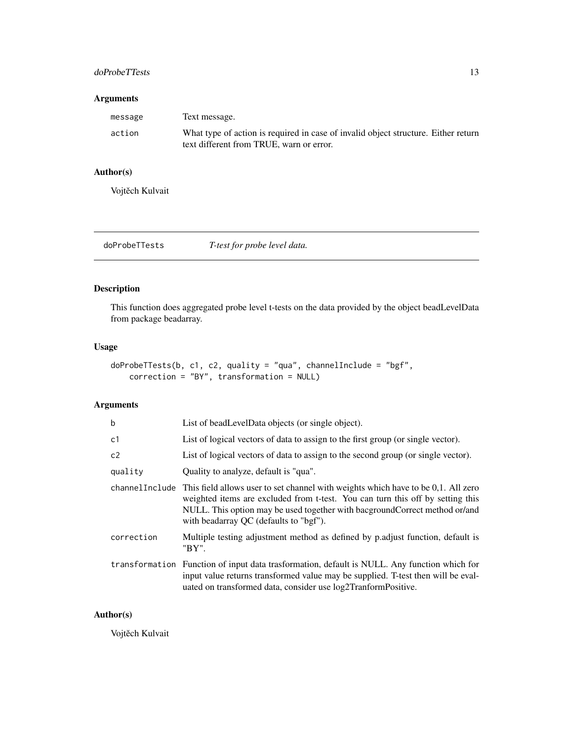# <span id="page-12-0"></span>doProbeTTests 13

# Arguments

| message | Text message.                                                                      |
|---------|------------------------------------------------------------------------------------|
| action  | What type of action is required in case of invalid object structure. Either return |
|         | text different from TRUE, warn or error.                                           |

# Author(s)

Vojtěch Kulvait

doProbeTTests *T-test for probe level data.*

# Description

This function does aggregated probe level t-tests on the data provided by the object beadLevelData from package beadarray.

# Usage

```
doProbeTTests(b, c1, c2, quality = "qua", channelInclude = "bgf",
   correction = "BY", transformation = NULL)
```
# Arguments

| b          | List of beadLevelData objects (or single object).                                                                                                                                                                                                                                                            |
|------------|--------------------------------------------------------------------------------------------------------------------------------------------------------------------------------------------------------------------------------------------------------------------------------------------------------------|
| c1         | List of logical vectors of data to assign to the first group (or single vector).                                                                                                                                                                                                                             |
| c2         | List of logical vectors of data to assign to the second group (or single vector).                                                                                                                                                                                                                            |
| quality    | Quality to analyze, default is "qua".                                                                                                                                                                                                                                                                        |
|            | channel Include This field allows user to set channel with weights which have to be 0,1. All zero<br>weighted items are excluded from t-test. You can turn this off by setting this<br>NULL. This option may be used together with bacground Correct method or/and<br>with beadarray QC (defaults to "bgf"). |
| correction | Multiple testing adjustment method as defined by p. adjust function, default is<br>"BY".                                                                                                                                                                                                                     |
|            | transformation Function of input data trasformation, default is NULL. Any function which for<br>input value returns transformed value may be supplied. T-test then will be eval-<br>uated on transformed data, consider use log2TranformPositive.                                                            |

#### Author(s)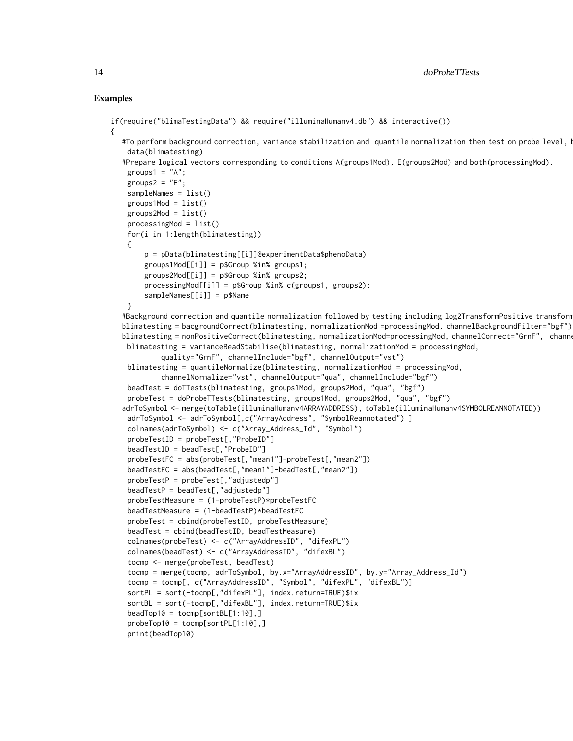#### Examples

{

```
if(require("blimaTestingData") && require("illuminaHumanv4.db") && interactive())
  #To perform background correction, variance stabilization and quantile normalization then test on probe level, l
    data(blimatesting)
  #Prepare logical vectors corresponding to conditions A(groups1Mod), E(groups2Mod) and both(processingMod).
    groups1 = "A";groups2 = "E";sampleNames = list()
    groups1Mod = list()groups2Mod = list()processingMod = list()
    for(i in 1:length(blimatesting))
    {
        p = pData(blimatesting[[i]]@experimentData$phenoData)
        groups1Mod[[i]] = p$Group %in% groups1;
       groups2Mod[[i]] = p$Group %in% groups2;
       processingMod[[i]] = p$Group %in% c(groups1, groups2);
        sampleNames[[i]] = p$Name
    }
  #Background correction and quantile normalization followed by testing including log2TransformPositive transform
  blimatesting = bacgroundCorrect(blimatesting, normalizationMod =processingMod, channelBackgroundFilter="bgf")
  blimatesting = nonPositiveCorrect(blimatesting, normalizationMod=processingMod, channelCorrect="GrnF", channe
   blimatesting = varianceBeadStabilise(blimatesting, normalizationMod = processingMod,
            quality="GrnF", channelInclude="bgf", channelOutput="vst")
    blimatesting = quantileNormalize(blimatesting, normalizationMod = processingMod,
            channelNormalize="vst", channelOutput="qua", channelInclude="bgf")
    beadTest = doTTests(blimatesting, groups1Mod, groups2Mod, "qua", "bgf")
    probeTest = doProbeTTests(blimatesting, groups1Mod, groups2Mod, "qua", "bgf")
  adrToSymbol <- merge(toTable(illuminaHumanv4ARRAYADDRESS), toTable(illuminaHumanv4SYMBOLREANNOTATED))
    adrToSymbol <- adrToSymbol[,c("ArrayAddress", "SymbolReannotated") ]
    colnames(adrToSymbol) <- c("Array_Address_Id", "Symbol")
    probeTestID = probeTest[,"ProbeID"]
    beadTestID = beadTest[,"ProbeID"]
    probeTestFC = abs(probeTest[,"mean1"]-probeTest[,"mean2"])
    beadTestFC = abs(beadTest[,"mean1"]-beadTest[,"mean2"])
    probeTestP = probeTest[,"adjustedp"]
    beadTestP = beadTest[,"adjustedp"]
    probeTestMeasure = (1-probeTestP)*probeTestFC
    beadTestMeasure = (1-beadTestP)*beadTestFC
    probeTest = cbind(probeTestID, probeTestMeasure)
   beadTest = cbind(beadTestID, beadTestMeasure)
    colnames(probeTest) <- c("ArrayAddressID", "difexPL")
    colnames(beadTest) <- c("ArrayAddressID", "difexBL")
    tocmp <- merge(probeTest, beadTest)
    tocmp = merge(tocmp, adrToSymbol, by.x="ArrayAddressID", by.y="Array_Address_Id")
    tocmp = tocmp[, c("ArrayAddressID", "Symbol", "difexPL", "difexBL")]
    sortPL = sort(-tocmp[,"difexPL"], index.return=TRUE)$ix
    sortBL = sort(-tocmp[,"difexBL"], index.return=TRUE)$ix
    beadTop10 = tocmp[sortBL[1:10],]
    probeTop10 = tocmp[sortPL[1:10],]
    print(beadTop10)
```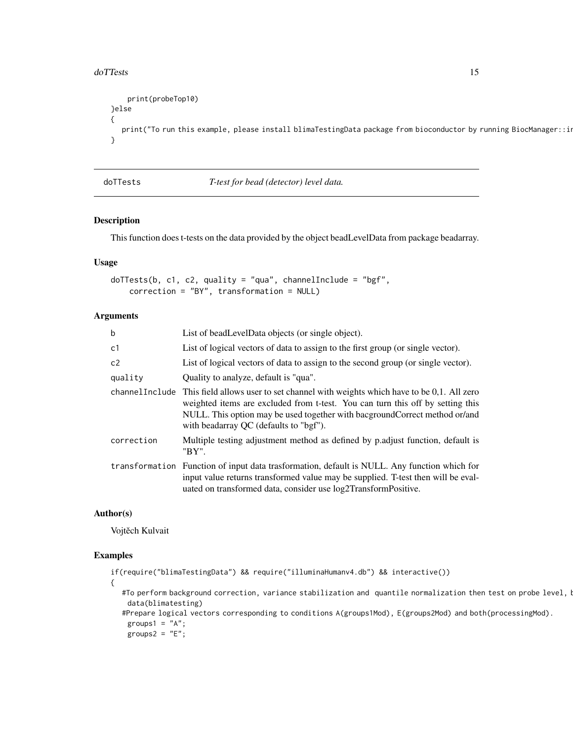#### <span id="page-14-0"></span>do TTests and the contract of the contract of the contract of the contract of the contract of the contract of the contract of the contract of the contract of the contract of the contract of the contract of the contract of

```
print(probeTop10)
}else
{
  print("To run this example, please install blimaTestingData package from bioconductor by running BiocManager::in
}
```
doTTests *T-test for bead (detector) level data.*

# Description

This function does t-tests on the data provided by the object beadLevelData from package beadarray.

# Usage

```
doTTests(b, c1, c2, quality = "qua", channelInclude = "bgf",
   correction = "BY", transformation = NULL)
```
#### Arguments

| $\mathbf b$ | List of beadLevelData objects (or single object).                                                                                                                                                                                                                                                            |
|-------------|--------------------------------------------------------------------------------------------------------------------------------------------------------------------------------------------------------------------------------------------------------------------------------------------------------------|
| c1          | List of logical vectors of data to assign to the first group (or single vector).                                                                                                                                                                                                                             |
| c2          | List of logical vectors of data to assign to the second group (or single vector).                                                                                                                                                                                                                            |
| quality     | Quality to analyze, default is "qua".                                                                                                                                                                                                                                                                        |
|             | channel Include This field allows user to set channel with weights which have to be 0,1. All zero<br>weighted items are excluded from t-test. You can turn this off by setting this<br>NULL. This option may be used together with bacground Correct method or/and<br>with beadarray QC (defaults to "bgf"). |
| correction  | Multiple testing adjustment method as defined by p.adjust function, default is<br>"BY".                                                                                                                                                                                                                      |
|             | transformation Function of input data trasformation, default is NULL. Any function which for<br>input value returns transformed value may be supplied. T-test then will be eval-<br>uated on transformed data, consider use log2TransformPositive.                                                           |

### Author(s)

Vojtěch Kulvait

#### Examples

```
if(require("blimaTestingData") && require("illuminaHumanv4.db") && interactive())
{
  #To perform background correction, variance stabilization and quantile normalization then test on probe level, I
   data(blimatesting)
  #Prepare logical vectors corresponding to conditions A(groups1Mod), E(groups2Mod) and both(processingMod).
   groups1 = "A";groups2 = "E";
```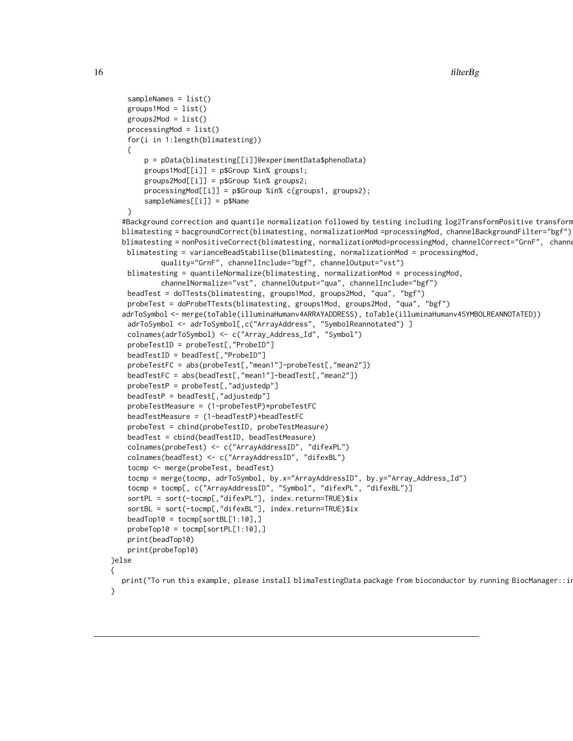```
sampleNames = list()
    groups1Mod = list()
    groups2Mod = list()processingMod = list()
    for(i in 1:length(blimatesting))
    {
       p = pData(blimatesting[[i]]@experimentData$phenoData)
       groups1Mod[[i]] = p$Group %in% groups1;
       groups2Mod[[i]] = p$Group %in% groups2;
       processingMod[[i]] = p$Group %in% c(groups1, groups2);
       sampleNames[[i]] = p$Name
    }
  #Background correction and quantile normalization followed by testing including log2TransformPositive transform
  blimatesting = bacgroundCorrect(blimatesting, normalizationMod =processingMod, channelBackgroundFilter="bgf")
  blimatesting = nonPositiveCorrect(blimatesting, normalizationMod=processingMod, channelCorrect="GrnF", channe
   blimatesting = varianceBeadStabilise(blimatesting, normalizationMod = processingMod,
            quality="GrnF", channelInclude="bgf", channelOutput="vst")
   blimatesting = quantileNormalize(blimatesting, normalizationMod = processingMod,
            channelNormalize="vst", channelOutput="qua", channelInclude="bgf")
    beadTest = doTTests(blimatesting, groups1Mod, groups2Mod, "qua", "bgf")
    probeTest = doProbeTTests(blimatesting, groups1Mod, groups2Mod, "qua", "bgf")
  adrToSymbol <- merge(toTable(illuminaHumanv4ARRAYADDRESS), toTable(illuminaHumanv4SYMBOLREANNOTATED))
    adrToSymbol <- adrToSymbol[,c("ArrayAddress", "SymbolReannotated") ]
    colnames(adrToSymbol) <- c("Array_Address_Id", "Symbol")
    probeTestID = probeTest[,"ProbeID"]
    beadTestID = beadTest[,"ProbeID"]
    probeTestFC = abs(probeTest[,"mean1"]-probeTest[,"mean2"])
    beadTestFC = abs(beadTest[,"mean1"]-beadTest[,"mean2"])
    probeTestP = probeTest[,"adjustedp"]
    beadTestP = beadTest[,"adjustedp"]
    probeTestMeasure = (1-probeTestP)*probeTestFC
    beadTestMeasure = (1-beadTestP)*beadTestFC
    probeTest = cbind(probeTestID, probeTestMeasure)
    beadTest = cbind(beadTestID, beadTestMeasure)
    colnames(probeTest) <- c("ArrayAddressID", "difexPL")
    colnames(beadTest) <- c("ArrayAddressID", "difexBL")
    tocmp <- merge(probeTest, beadTest)
    tocmp = merge(tocmp, adrToSymbol, by.x="ArrayAddressID", by.y="Array_Address_Id")
    tocmp = tocmp[, c("ArrayAddressID", "Symbol", "difexPL", "difexBL")]
    sortPL = sort(-tocmp[,"difexPL"], index.return=TRUE)$ix
    sortBL = sort(-tocmp[,"difexBL"], index.return=TRUE)$ix
    beadTop10 = tocmp[sortBL[1:10],]
    probeTop10 = tocmp[sortPL[1:10],]
    print(beadTop10)
   print(probeTop10)
}else
{
  print("To run this example, please install blimaTestingData package from bioconductor by running BiocManager::i
}
```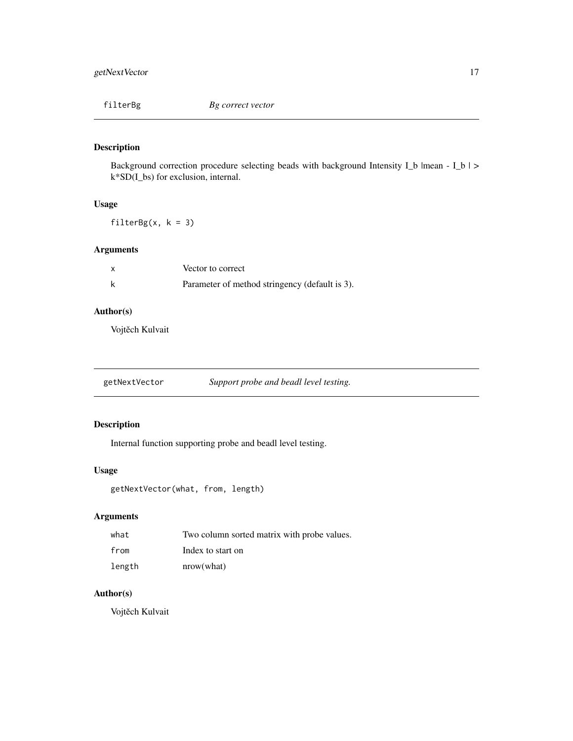<span id="page-16-0"></span>filterBg *Bg correct vector*

# Description

Background correction procedure selecting beads with background Intensity I\_b |mean - I\_b | > k\*SD(I\_bs) for exclusion, internal.

# Usage

 $filterBg(x, k = 3)$ 

# Arguments

| $\boldsymbol{\mathsf{x}}$ | Vector to correct                              |
|---------------------------|------------------------------------------------|
|                           | Parameter of method stringency (default is 3). |

# Author(s)

Vojtěch Kulvait

| getNextVector | Support probe and beadl level testing. |  |
|---------------|----------------------------------------|--|
|               |                                        |  |

# Description

Internal function supporting probe and beadl level testing.

# Usage

getNextVector(what, from, length)

# Arguments

| what   | Two column sorted matrix with probe values. |
|--------|---------------------------------------------|
| from   | Index to start on                           |
| length | nrow(what)                                  |

# Author(s)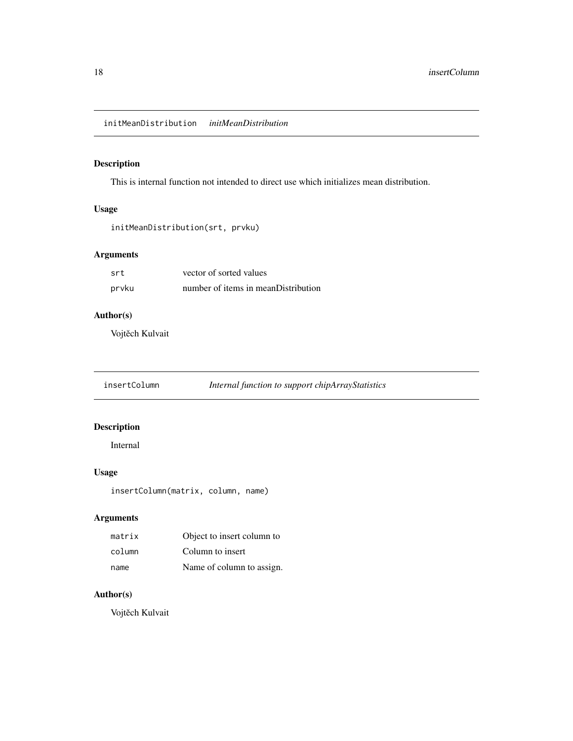# <span id="page-17-0"></span>Description

This is internal function not intended to direct use which initializes mean distribution.

# Usage

```
initMeanDistribution(srt, prvku)
```
# Arguments

| srt   | vector of sorted values             |
|-------|-------------------------------------|
| prvku | number of items in meanDistribution |

# Author(s)

Vojtěch Kulvait

insertColumn *Internal function to support chipArrayStatistics*

# Description

Internal

# Usage

insertColumn(matrix, column, name)

# Arguments

| matrix | Object to insert column to |
|--------|----------------------------|
| column | Column to insert           |
| name   | Name of column to assign.  |

# Author(s)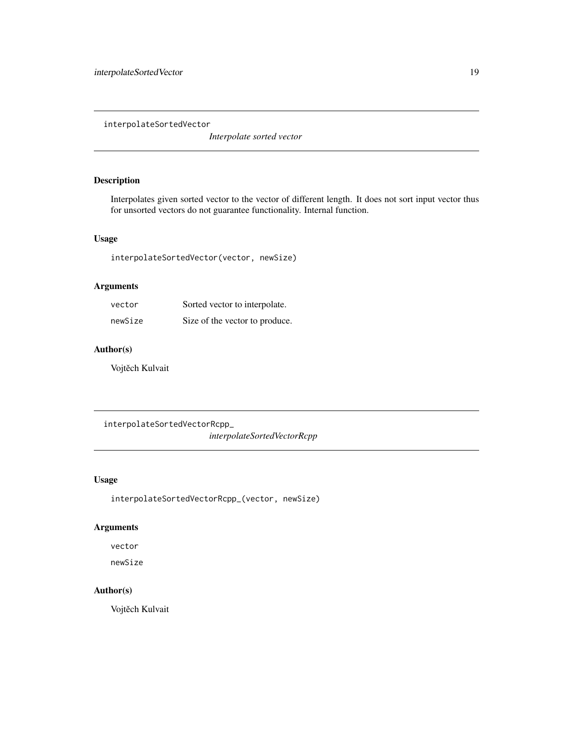<span id="page-18-0"></span>interpolateSortedVector

*Interpolate sorted vector*

# Description

Interpolates given sorted vector to the vector of different length. It does not sort input vector thus for unsorted vectors do not guarantee functionality. Internal function.

#### Usage

interpolateSortedVector(vector, newSize)

# Arguments

| vector  | Sorted vector to interpolate.  |
|---------|--------------------------------|
| newSize | Size of the vector to produce. |

# Author(s)

Vojtěch Kulvait

interpolateSortedVectorRcpp\_

*interpolateSortedVectorRcpp*

## Usage

```
interpolateSortedVectorRcpp_(vector, newSize)
```
# Arguments

vector

newSize

# Author(s)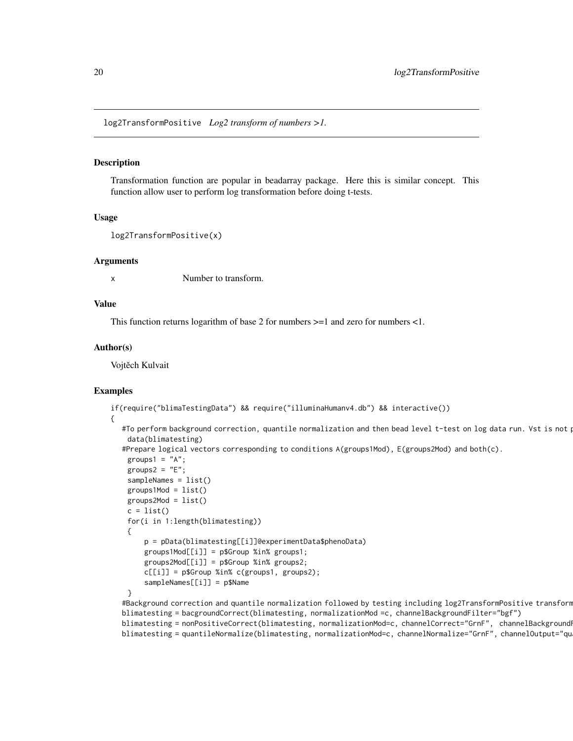<span id="page-19-0"></span>log2TransformPositive *Log2 transform of numbers >1.*

#### Description

Transformation function are popular in beadarray package. Here this is similar concept. This function allow user to perform log transformation before doing t-tests.

#### Usage

```
log2TransformPositive(x)
```
#### Arguments

x Number to transform.

# Value

This function returns logarithm of base 2 for numbers >=1 and zero for numbers <1.

#### Author(s)

Vojtěch Kulvait

#### Examples

```
if(require("blimaTestingData") && require("illuminaHumanv4.db") && interactive())
{
  #To perform background correction, quantile normalization and then bead level t-test on log data run. Vst is not p
    data(blimatesting)
  #Prepare logical vectors corresponding to conditions A(groups1Mod), E(groups2Mod) and both(c).
    groups1 = "A";groups2 = "E";sampleNames = list()
   groups1Mod = list()groups2Mod = list()c = list()for(i in 1:length(blimatesting))
    {
        p = pData(blimatesting[[i]]@experimentData$phenoData)
        groups1Mod[[i]] = p$Group %in% groups1;
        groups2Mod[[i]] = p$Group %in% groups2;
        c[[i]] = p$Group %in% c(groups1, groups2);
        sampleNames[[i]] = p$Name
    }
  #Background correction and quantile normalization followed by testing including log2TransformPositive transform
  blimatesting = bacgroundCorrect(blimatesting, normalizationMod =c, channelBackgroundFilter="bgf")
```
blimatesting = nonPositiveCorrect(blimatesting, normalizationMod=c, channelCorrect="GrnF", channelBackground blimatesting = quantileNormalize(blimatesting, normalizationMod=c, channelNormalize="GrnF", channelOutput="qu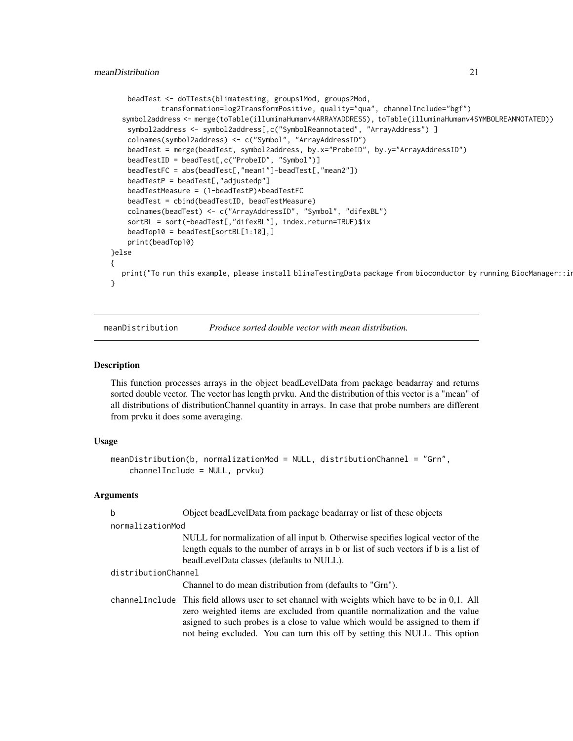```
beadTest <- doTTests(blimatesting, groups1Mod, groups2Mod,
            transformation=log2TransformPositive, quality="qua", channelInclude="bgf")
  symbol2address <- merge(toTable(illuminaHumanv4ARRAYADDRESS), toTable(illuminaHumanv4SYMBOLREANNOTATED))
    symbol2address <- symbol2address[,c("SymbolReannotated", "ArrayAddress") ]
    colnames(symbol2address) <- c("Symbol", "ArrayAddressID")
   beadTest = merge(beadTest, symbol2address, by.x="ProbeID", by.y="ArrayAddressID")
   beadTestID = beadTest[,c("ProbeID", "Symbol")]
   beadTestFC = abs(beadTest[,"mean1"]-beadTest[,"mean2"])
   beadTestP = beadTest[, "adjustedp"]beadTestMeasure = (1-beadTestP)*beadTestFC
   beadTest = cbind(beadTestID, beadTestMeasure)
   colnames(beadTest) <- c("ArrayAddressID", "Symbol", "difexBL")
    sortBL = sort(-beadTest[,"difexBL"], index.return=TRUE)$ix
   beadTop10 = beadTest[sortBL[1:10],]
   print(beadTop10)
}else
{
  print("To run this example, please install blimaTestingData package from bioconductor by running BiocManager::i
}
```
meanDistribution *Produce sorted double vector with mean distribution.*

#### Description

This function processes arrays in the object beadLevelData from package beadarray and returns sorted double vector. The vector has length prvku. And the distribution of this vector is a "mean" of all distributions of distributionChannel quantity in arrays. In case that probe numbers are different from prvku it does some averaging.

# Usage

```
meanDistribution(b, normalizationMod = NULL, distributionChannel = "Grn",
   channelInclude = NULL, prvku)
```
# Arguments

| b                   | Object bead Level Data from package beadarray or list of these objects                                                                                                                                                                                                                                                                        |
|---------------------|-----------------------------------------------------------------------------------------------------------------------------------------------------------------------------------------------------------------------------------------------------------------------------------------------------------------------------------------------|
| normalizationMod    |                                                                                                                                                                                                                                                                                                                                               |
|                     | NULL for normalization of all input b. Otherwise specifies logical vector of the<br>length equals to the number of arrays in b or list of such vectors if b is a list of<br>beadLevelData classes (defaults to NULL).                                                                                                                         |
| distributionChannel |                                                                                                                                                                                                                                                                                                                                               |
|                     | Channel to do mean distribution from (defaults to "Grn").                                                                                                                                                                                                                                                                                     |
|                     | channel Include This field allows user to set channel with weights which have to be in 0,1. All<br>zero weighted items are excluded from quantile normalization and the value<br>asigned to such probes is a close to value which would be assigned to them if<br>not being excluded. You can turn this off by setting this NULL. This option |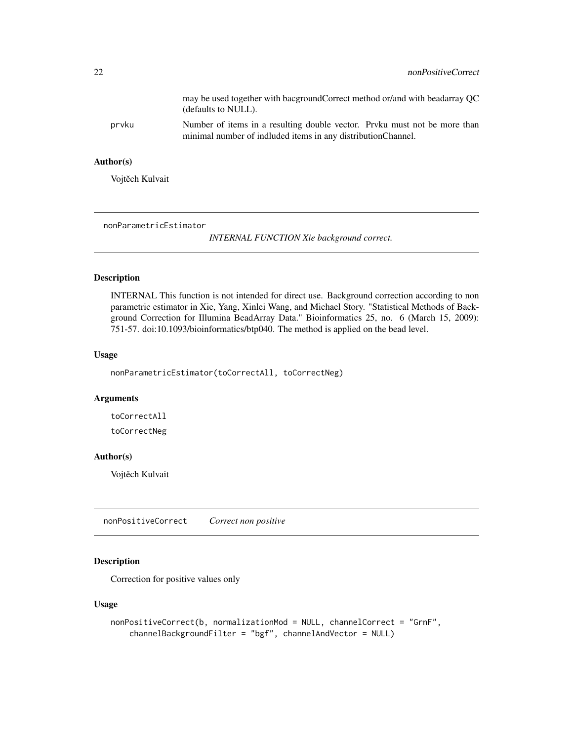<span id="page-21-0"></span>

|       | may be used together with bacground Correct method or/and with beadarray QC<br>(defaults to NULL).                                         |
|-------|--------------------------------------------------------------------------------------------------------------------------------------------|
| prvku | Number of items in a resulting double vector. Prvku must not be more than<br>minimal number of indluded items in any distribution Channel. |

# Author(s)

Vojtěch Kulvait

nonParametricEstimator

*INTERNAL FUNCTION Xie background correct.*

# Description

INTERNAL This function is not intended for direct use. Background correction according to non parametric estimator in Xie, Yang, Xinlei Wang, and Michael Story. "Statistical Methods of Background Correction for Illumina BeadArray Data." Bioinformatics 25, no. 6 (March 15, 2009): 751-57. doi:10.1093/bioinformatics/btp040. The method is applied on the bead level.

# Usage

nonParametricEstimator(toCorrectAll, toCorrectNeg)

#### Arguments

toCorrectAll

toCorrectNeg

#### Author(s)

Vojtěch Kulvait

nonPositiveCorrect *Correct non positive*

# Description

Correction for positive values only

```
nonPositiveCorrect(b, normalizationMod = NULL, channelCorrect = "GrnF",
   channelBackgroundFilter = "bgf", channelAndVector = NULL)
```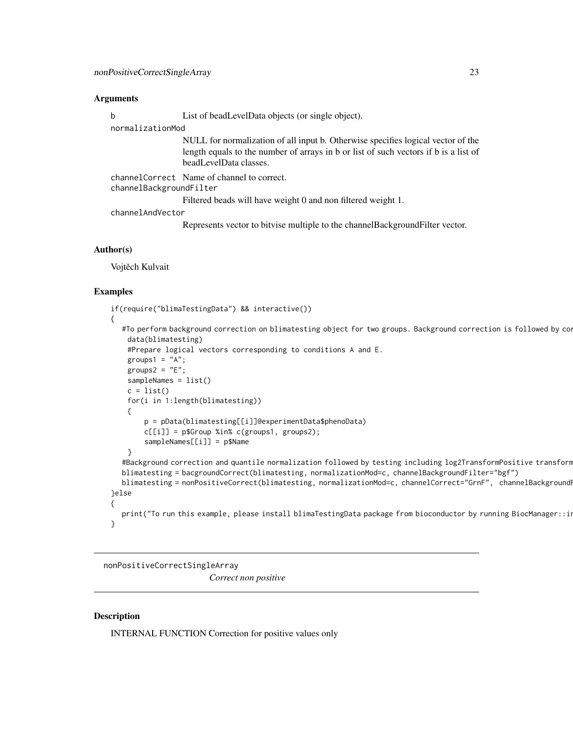#### <span id="page-22-0"></span>Arguments

b List of beadLevelData objects (or single object).

normalizationMod

NULL for normalization of all input b. Otherwise specifies logical vector of the length equals to the number of arrays in b or list of such vectors if b is a list of beadLevelData classes.

channelCorrect Name of channel to correct. channelBackgroundFilter

Filtered beads will have weight 0 and non filtered weight 1.

channelAndVector

Represents vector to bitvise multiple to the channelBackgroundFilter vector.

#### Author(s)

Vojtěch Kulvait

#### Examples

```
if(require("blimaTestingData") && interactive())
{
  #To perform background correction on blimatesting object for two groups. Background correction is followed by co
   data(blimatesting)
    #Prepare logical vectors corresponding to conditions A and E.
    groups1 = "A";groups2 = "E";sampleNames = list()
   c = list()for(i in 1:length(blimatesting))
    {
        p = pData(blimatesting[[i]]@experimentData$phenoData)
        c[[i]] = p$Group %in% c(groups1, groups2);
        sampleNames[[i]] = p$Name
    }
  #Background correction and quantile normalization followed by testing including log2TransformPositive transform
  blimatesting = bacgroundCorrect(blimatesting, normalizationMod=c, channelBackgroundFilter="bgf")
  blimatesting = nonPositiveCorrect(blimatesting, normalizationMod=c, channelCorrect="GrnF", channelBackgroundI
}else
{
  print("To run this example, please install blimaTestingData package from bioconductor by running BiocManager::in
}
```
nonPositiveCorrectSingleArray

*Correct non positive*

#### **Description**

INTERNAL FUNCTION Correction for positive values only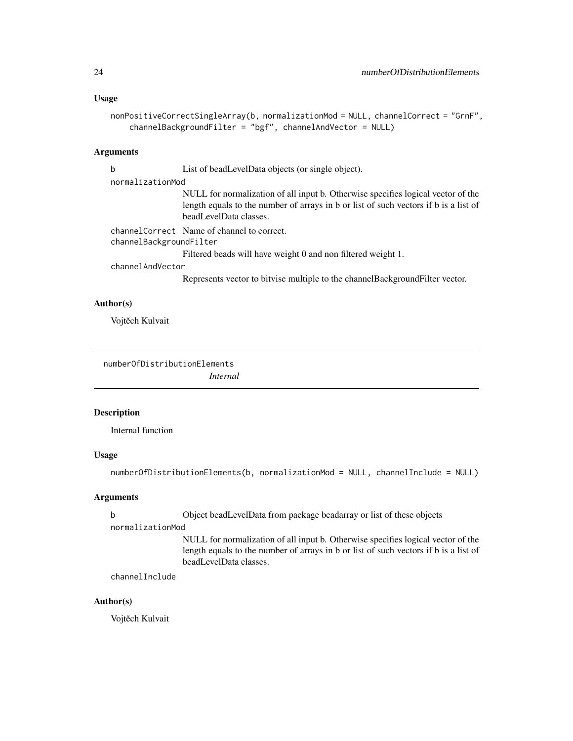#### <span id="page-23-0"></span>Usage

```
nonPositiveCorrectSingleArray(b, normalizationMod = NULL, channelCorrect = "GrnF",
    channelBackgroundFilter = "bgf", channelAndVector = NULL)
```
# Arguments

b List of beadLevelData objects (or single object).

#### normalizationMod

NULL for normalization of all input b. Otherwise specifies logical vector of the length equals to the number of arrays in b or list of such vectors if b is a list of beadLevelData classes.

channelCorrect Name of channel to correct. channelBackgroundFilter Filtered beads will have weight 0 and non filtered weight 1.

channelAndVector

Represents vector to bitvise multiple to the channelBackgroundFilter vector.

# Author(s)

Vojtěch Kulvait

numberOfDistributionElements *Internal*

#### Description

Internal function

### Usage

```
numberOfDistributionElements(b, normalizationMod = NULL, channelInclude = NULL)
```
#### Arguments

b Object beadLevelData from package beadarray or list of these objects normalizationMod NULL for normalization of all input b. Otherwise specifies logical vector of the length equals to the number of arrays in b or list of such vectors if b is a list of beadLevelData classes.

channelInclude

# Author(s)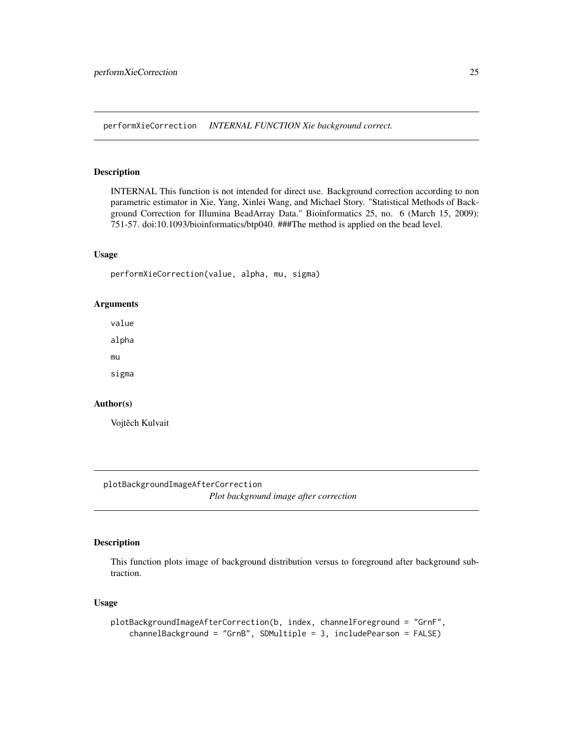<span id="page-24-0"></span>performXieCorrection *INTERNAL FUNCTION Xie background correct.*

# Description

INTERNAL This function is not intended for direct use. Background correction according to non parametric estimator in Xie, Yang, Xinlei Wang, and Michael Story. "Statistical Methods of Background Correction for Illumina BeadArray Data." Bioinformatics 25, no. 6 (March 15, 2009): 751-57. doi:10.1093/bioinformatics/btp040. ###The method is applied on the bead level.

#### Usage

performXieCorrection(value, alpha, mu, sigma)

# Arguments

value

alpha

mu

sigma

#### Author(s)

Vojtěch Kulvait

plotBackgroundImageAfterCorrection

*Plot background image after correction*

# Description

This function plots image of background distribution versus to foreground after background subtraction.

```
plotBackgroundImageAfterCorrection(b, index, channelForeground = "GrnF",
   channelBackground = "GrnB", SDMultiple = 3, includePearson = FALSE)
```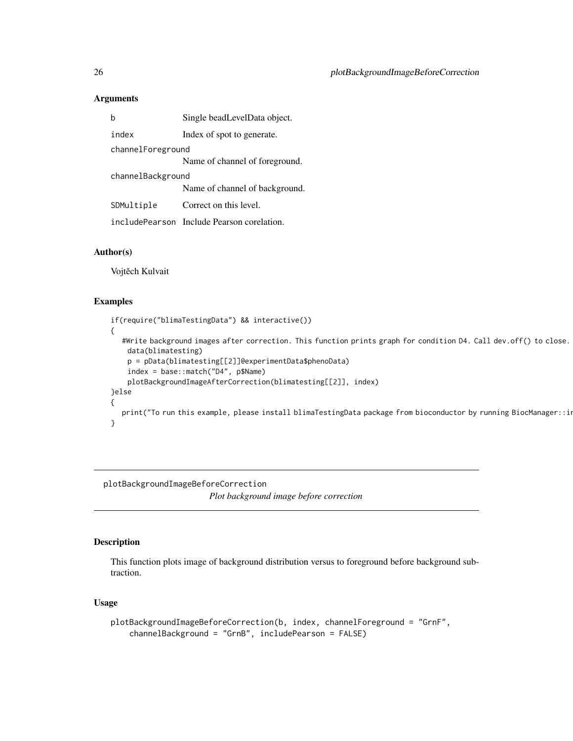#### <span id="page-25-0"></span>Arguments

|                   | Single beadLevelData object.               |  |
|-------------------|--------------------------------------------|--|
| index             | Index of spot to generate.                 |  |
| channelForeground |                                            |  |
|                   | Name of channel of foreground.             |  |
| channelBackground |                                            |  |
|                   | Name of channel of background.             |  |
| SDMultiple        | Correct on this level.                     |  |
|                   | includePearson Include Pearson corelation. |  |

# Author(s)

Vojtěch Kulvait

#### Examples

```
if(require("blimaTestingData") && interactive())
{
  #Write background images after correction. This function prints graph for condition D4. Call dev.off() to close.
    data(blimatesting)
   p = pData(blimatesting[[2]]@experimentData$phenoData)
    index = base::match("D4", p$Name)
    plotBackgroundImageAfterCorrection(blimatesting[[2]], index)
}else
{
  print("To run this example, please install blimaTestingData package from bioconductor by running BiocManager::i
}
```
plotBackgroundImageBeforeCorrection *Plot background image before correction*

# Description

This function plots image of background distribution versus to foreground before background subtraction.

```
plotBackgroundImageBeforeCorrection(b, index, channelForeground = "GrnF",
   channelBackground = "GrnB", includePearson = FALSE)
```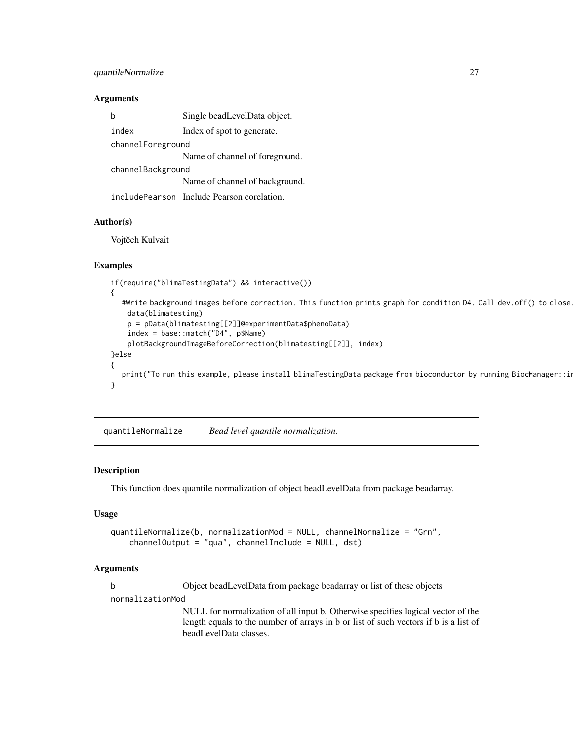# <span id="page-26-0"></span>quantileNormalize 27

#### Arguments

|                   | Single beadLevelData object.               |  |
|-------------------|--------------------------------------------|--|
| index             | Index of spot to generate.                 |  |
| channelForeground |                                            |  |
|                   | Name of channel of foreground.             |  |
| channelBackground |                                            |  |
|                   | Name of channel of background.             |  |
|                   | includePearson Include Pearson corelation. |  |

#### Author(s)

Vojtěch Kulvait

#### Examples

```
if(require("blimaTestingData") && interactive())
{
  #Write background images before correction. This function prints graph for condition D4. Call dev.off() to close.
   data(blimatesting)
   p = pData(blimatesting[[2]]@experimentData$phenoData)
    index = base::match("D4", p$Name)
   plotBackgroundImageBeforeCorrection(blimatesting[[2]], index)
}else
{
  print("To run this example, please install blimaTestingData package from bioconductor by running BiocManager::i
}
```
quantileNormalize *Bead level quantile normalization.*

#### Description

This function does quantile normalization of object beadLevelData from package beadarray.

# Usage

```
quantileNormalize(b, normalizationMod = NULL, channelNormalize = "Grn",
    channelOutput = "qua", channelInclude = NULL, dst)
```
#### Arguments

b Object beadLevelData from package beadarray or list of these objects

normalizationMod

NULL for normalization of all input b. Otherwise specifies logical vector of the length equals to the number of arrays in b or list of such vectors if b is a list of beadLevelData classes.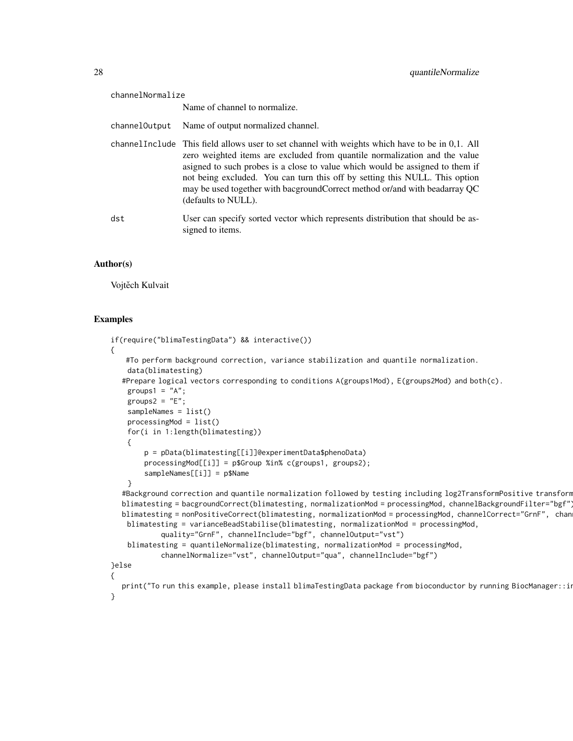| channelNormalize |                                                                                                                                                                                                                                                                                                                                                                                                                                                     |  |
|------------------|-----------------------------------------------------------------------------------------------------------------------------------------------------------------------------------------------------------------------------------------------------------------------------------------------------------------------------------------------------------------------------------------------------------------------------------------------------|--|
|                  | Name of channel to normalize.                                                                                                                                                                                                                                                                                                                                                                                                                       |  |
| channelOutput    | Name of output normalized channel.                                                                                                                                                                                                                                                                                                                                                                                                                  |  |
|                  | channel Include This field allows user to set channel with weights which have to be in 0,1. All<br>zero weighted items are excluded from quantile normalization and the value<br>asigned to such probes is a close to value which would be assigned to them if<br>not being excluded. You can turn this off by setting this NULL. This option<br>may be used together with bacground Correct method or/and with beadarray QC<br>(defaults to NULL). |  |
| dst              | User can specify sorted vector which represents distribution that should be as-<br>signed to items.                                                                                                                                                                                                                                                                                                                                                 |  |

#### Author(s)

Vojtěch Kulvait

#### Examples

```
if(require("blimaTestingData") && interactive())
{
   #To perform background correction, variance stabilization and quantile normalization.
   data(blimatesting)
  #Prepare logical vectors corresponding to conditions A(groups1Mod), E(groups2Mod) and both(c).
    groups1 = "A";groups2 = "E";sampleNames = list()
   processingMod = list()
    for(i in 1:length(blimatesting))
    {
        p = pData(blimatesting[[i]]@experimentData$phenoData)
        processingMod[[i]] = p$Group %in% c(groups1, groups2);
        sampleNames[[i]] = p$Name
    }
  #Background correction and quantile normalization followed by testing including log2TransformPositive transform
  blimatesting = bacgroundCorrect(blimatesting, normalizationMod = processingMod, channelBackgroundFilter="bgf")
  blimatesting = nonPositiveCorrect(blimatesting, normalizationMod = processingMod, channelCorrect="GrnF", chan
   blimatesting = varianceBeadStabilise(blimatesting, normalizationMod = processingMod,
            quality="GrnF", channelInclude="bgf", channelOutput="vst")
   blimatesting = quantileNormalize(blimatesting, normalizationMod = processingMod,
            channelNormalize="vst", channelOutput="qua", channelInclude="bgf")
}else
{
  print("To run this example, please install blimaTestingData package from bioconductor by running BiocManager::i
}
```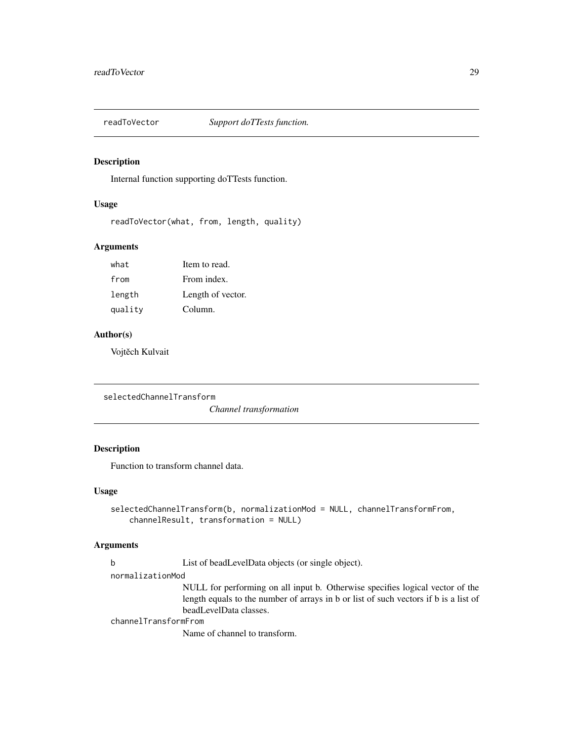<span id="page-28-0"></span>

# Description

Internal function supporting doTTests function.

#### Usage

readToVector(what, from, length, quality)

# Arguments

| what    | Item to read.     |
|---------|-------------------|
| from    | From index.       |
| length  | Length of vector. |
| quality | Column.           |

### Author(s)

Vojtěch Kulvait

```
selectedChannelTransform
```
*Channel transformation*

# Description

Function to transform channel data.

#### Usage

```
selectedChannelTransform(b, normalizationMod = NULL, channelTransformFrom,
   channelResult, transformation = NULL)
```
# Arguments

b List of beadLevelData objects (or single object).

normalizationMod

NULL for performing on all input b. Otherwise specifies logical vector of the length equals to the number of arrays in b or list of such vectors if b is a list of beadLevelData classes.

channelTransformFrom

Name of channel to transform.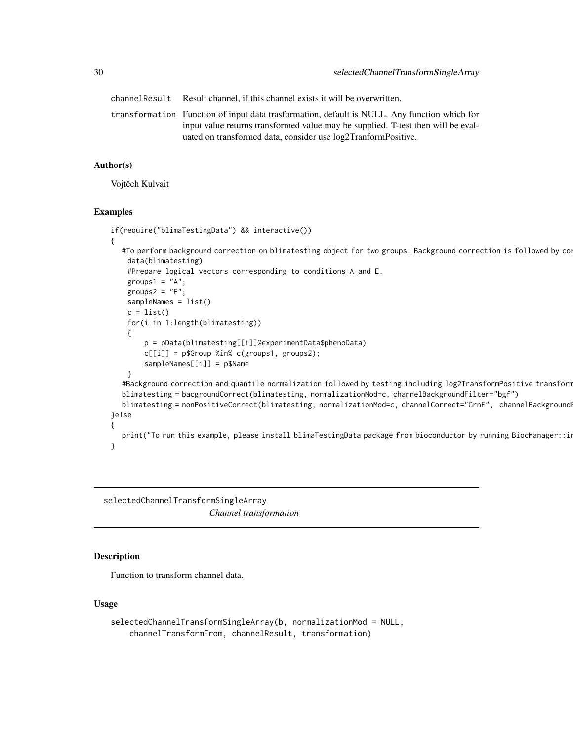<span id="page-29-0"></span>channelResult Result channel, if this channel exists it will be overwritten. transformation Function of input data trasformation, default is NULL. Any function which for input value returns transformed value may be supplied. T-test then will be evaluated on transformed data, consider use log2TranformPositive.

#### Author(s)

Vojtěch Kulvait

#### Examples

```
if(require("blimaTestingData") && interactive())
{
  #To perform background correction on blimatesting object for two groups. Background correction is followed by co
    data(blimatesting)
    #Prepare logical vectors corresponding to conditions A and E.
    groups1 = "A";groups2 = "E";sampleNames = list()
   c = list()for(i in 1:length(blimatesting))
    {
        p = pData(blimatesting[[i]]@experimentData$phenoData)
        c[[i]] = p$Group %in% c(groups1, groups2);
        sampleNames[[i]] = p$Name
    }
  #Background correction and quantile normalization followed by testing including log2TransformPositive transform
  blimatesting = bacgroundCorrect(blimatesting, normalizationMod=c, channelBackgroundFilter="bgf")
  blimatesting = nonPositiveCorrect(blimatesting, normalizationMod=c, channelCorrect="GrnF", channelBackground
}else
{
  print("To run this example, please install blimaTestingData package from bioconductor by running BiocManager::i
}
```
selectedChannelTransformSingleArray *Channel transformation*

#### Description

Function to transform channel data.

```
selectedChannelTransformSingleArray(b, normalizationMod = NULL,
   channelTransformFrom, channelResult, transformation)
```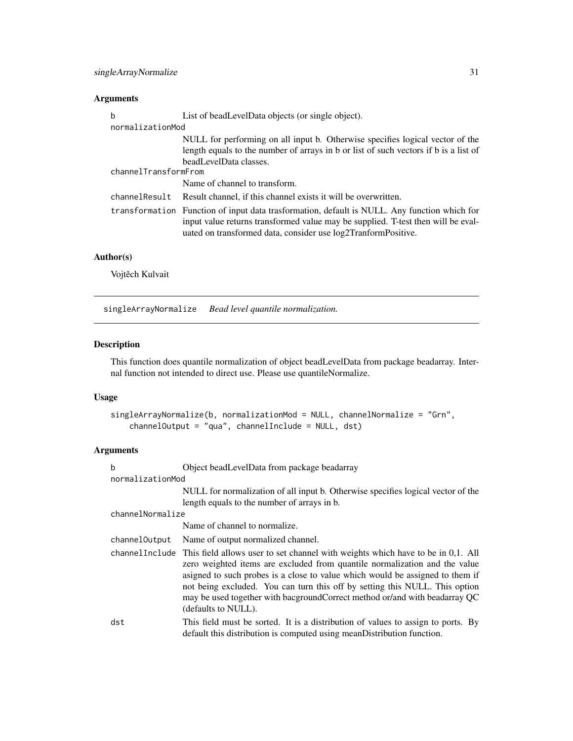# <span id="page-30-0"></span>Arguments

| b                    | List of bead Level Data objects (or single object).                                                                                                                                                                                               |
|----------------------|---------------------------------------------------------------------------------------------------------------------------------------------------------------------------------------------------------------------------------------------------|
| normalizationMod     |                                                                                                                                                                                                                                                   |
|                      | NULL for performing on all input b. Otherwise specifies logical vector of the<br>length equals to the number of arrays in b or list of such vectors if b is a list of                                                                             |
| channelTransformFrom | beadLevelData classes.                                                                                                                                                                                                                            |
|                      | Name of channel to transform.                                                                                                                                                                                                                     |
| channelResult        | Result channel, if this channel exists it will be overwritten.                                                                                                                                                                                    |
|                      | transformation Function of input data trasformation, default is NULL. Any function which for<br>input value returns transformed value may be supplied. T-test then will be eval-<br>uated on transformed data, consider use log2TranformPositive. |

# Author(s)

Vojtěch Kulvait

singleArrayNormalize *Bead level quantile normalization.*

# Description

This function does quantile normalization of object beadLevelData from package beadarray. Internal function not intended to direct use. Please use quantileNormalize.

# Usage

```
singleArrayNormalize(b, normalizationMod = NULL, channelNormalize = "Grn",
   channelOutput = "qua", channelInclude = NULL, dst)
```
# Arguments

| h                | Object beadLevelData from package beadarray                                                                                                                                                                                                                                                                                                                                                                                                           |
|------------------|-------------------------------------------------------------------------------------------------------------------------------------------------------------------------------------------------------------------------------------------------------------------------------------------------------------------------------------------------------------------------------------------------------------------------------------------------------|
| normalizationMod |                                                                                                                                                                                                                                                                                                                                                                                                                                                       |
|                  | NULL for normalization of all input b. Otherwise specifies logical vector of the                                                                                                                                                                                                                                                                                                                                                                      |
|                  | length equals to the number of arrays in b.                                                                                                                                                                                                                                                                                                                                                                                                           |
| channelNormalize |                                                                                                                                                                                                                                                                                                                                                                                                                                                       |
|                  | Name of channel to normalize.                                                                                                                                                                                                                                                                                                                                                                                                                         |
| channelOutput    | Name of output normalized channel.                                                                                                                                                                                                                                                                                                                                                                                                                    |
|                  | channel Include This field allows user to set channel with weights which have to be in $0,1$ . All<br>zero weighted items are excluded from quantile normalization and the value<br>asigned to such probes is a close to value which would be assigned to them if<br>not being excluded. You can turn this off by setting this NULL. This option<br>may be used together with bacgroundCorrect method or/and with beadarray QC<br>(defaults to NULL). |
| dst              | This field must be sorted. It is a distribution of values to assign to ports. By<br>default this distribution is computed using meanDistribution function.                                                                                                                                                                                                                                                                                            |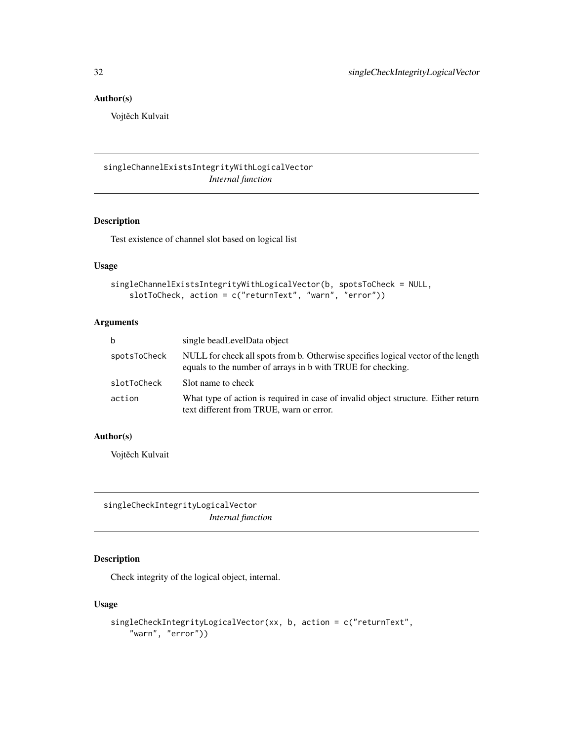# <span id="page-31-0"></span>Author(s)

Vojtěch Kulvait

singleChannelExistsIntegrityWithLogicalVector *Internal function*

# Description

Test existence of channel slot based on logical list

# Usage

```
singleChannelExistsIntegrityWithLogicalVector(b, spotsToCheck = NULL,
   slotToCheck, action = c("returnText", "warn", "error"))
```
# Arguments

| b            | single bead Level Data object                                                                                                                    |
|--------------|--------------------------------------------------------------------------------------------------------------------------------------------------|
| spotsToCheck | NULL for check all spots from b. Otherwise specifies logical vector of the length<br>equals to the number of arrays in b with TRUE for checking. |
| slotToCheck  | Sot name to check                                                                                                                                |
| action       | What type of action is required in case of invalid object structure. Either return<br>text different from TRUE, warn or error.                   |

# Author(s)

Vojtěch Kulvait

singleCheckIntegrityLogicalVector *Internal function*

# Description

Check integrity of the logical object, internal.

```
singleCheckIntegrityLogicalVector(xx, b, action = c("returnText",
    "warn", "error"))
```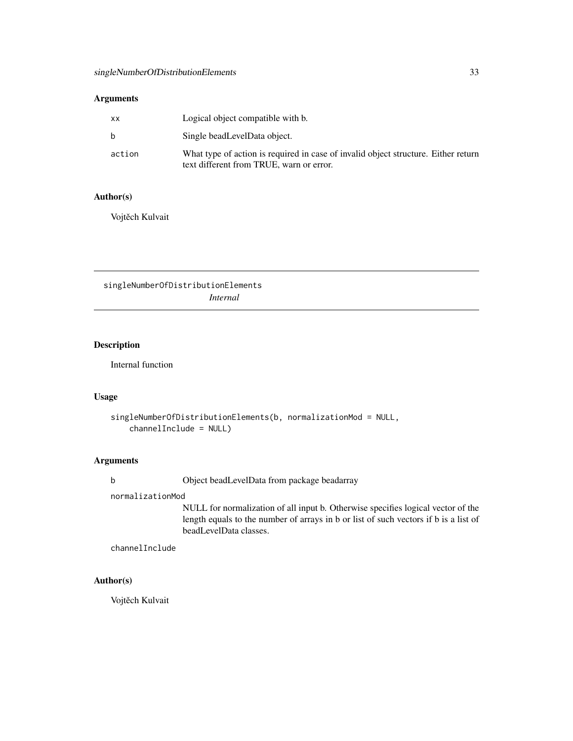# <span id="page-32-0"></span>Arguments

| XX     | Logical object compatible with b.                                                                                              |
|--------|--------------------------------------------------------------------------------------------------------------------------------|
| b      | Single beadLevelData object.                                                                                                   |
| action | What type of action is required in case of invalid object structure. Either return<br>text different from TRUE, warn or error. |

# Author(s)

Vojtěch Kulvait

singleNumberOfDistributionElements *Internal*

# Description

Internal function

# Usage

```
singleNumberOfDistributionElements(b, normalizationMod = NULL,
   channelInclude = NULL)
```
# Arguments

b Object beadLevelData from package beadarray

normalizationMod

NULL for normalization of all input b. Otherwise specifies logical vector of the length equals to the number of arrays in b or list of such vectors if b is a list of beadLevelData classes.

channelInclude

#### Author(s)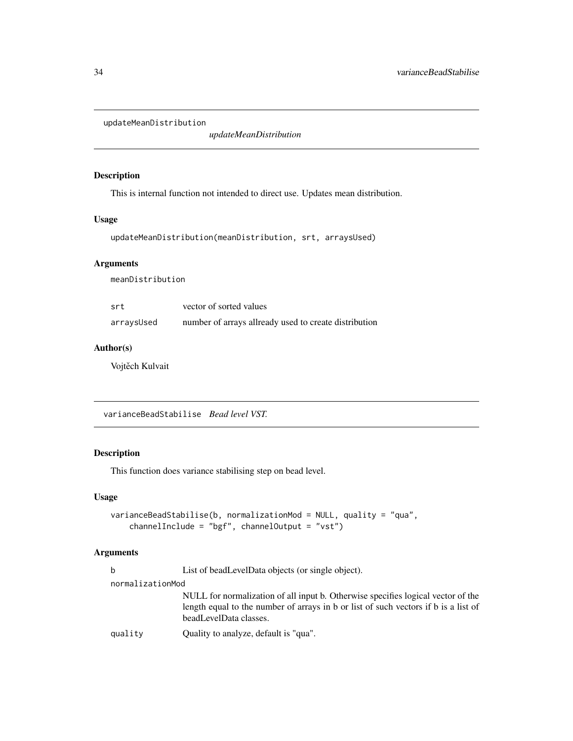<span id="page-33-0"></span>updateMeanDistribution

*updateMeanDistribution*

# Description

This is internal function not intended to direct use. Updates mean distribution.

#### Usage

```
updateMeanDistribution(meanDistribution, srt, arraysUsed)
```
# Arguments

meanDistribution

| srt        | vector of sorted values                               |
|------------|-------------------------------------------------------|
| arraysUsed | number of arrays allready used to create distribution |

#### Author(s)

Vojtěch Kulvait

varianceBeadStabilise *Bead level VST.*

# Description

This function does variance stabilising step on bead level.

#### Usage

```
varianceBeadStabilise(b, normalizationMod = NULL, quality = "qua",
   channelInclude = "bgf", channelOutput = "vst")
```
#### Arguments

b List of beadLevelData objects (or single object).

#### normalizationMod

NULL for normalization of all input b. Otherwise specifies logical vector of the length equal to the number of arrays in b or list of such vectors if b is a list of beadLevelData classes.

quality Quality to analyze, default is "qua".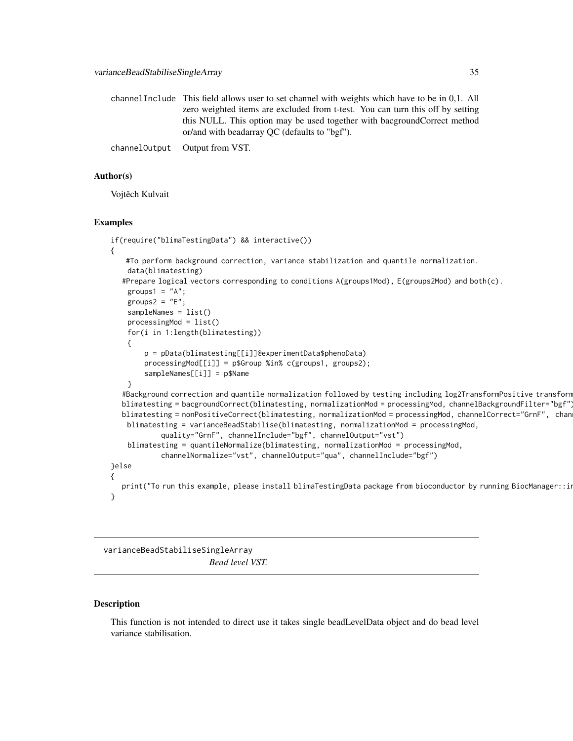<span id="page-34-0"></span>

| channel Include This field allows user to set channel with weights which have to be in 0.1. All                            |
|----------------------------------------------------------------------------------------------------------------------------|
| zero weighted items are excluded from t-test. You can turn this off by setting                                             |
| this NULL. This option may be used together with bacground Correct method<br>or/and with beadarray OC (defaults to "bgf"). |
| channel Output Output from VST.                                                                                            |

#### Author(s)

Vojtěch Kulvait

#### Examples

```
if(require("blimaTestingData") && interactive())
{
   #To perform background correction, variance stabilization and quantile normalization.
    data(blimatesting)
  #Prepare logical vectors corresponding to conditions A(groups1Mod), E(groups2Mod) and both(c).
    groups1 = "A";groups2 = "E";sampleNames = list()
   processingMod = list()
   for(i in 1:length(blimatesting))
    {
        p = pData(blimatesting[[i]]@experimentData$phenoData)
        processingMod[[i]] = p$Group %in% c(groups1, groups2);
        sampleNames[[i]] = p$Name
    }
  #Background correction and quantile normalization followed by testing including log2TransformPositive transform
  blimatesting = bacgroundCorrect(blimatesting, normalizationMod = processingMod, channelBackgroundFilter="bgf")
  blimatesting = nonPositiveCorrect(blimatesting, normalizationMod = processingMod, channelCorrect="GrnF", chan
   blimatesting = varianceBeadStabilise(blimatesting, normalizationMod = processingMod,
            quality="GrnF", channelInclude="bgf", channelOutput="vst")
   blimatesting = quantileNormalize(blimatesting, normalizationMod = processingMod,
            channelNormalize="vst", channelOutput="qua", channelInclude="bgf")
}else
{
  print("To run this example, please install blimaTestingData package from bioconductor by running BiocManager::i
}
```
varianceBeadStabiliseSingleArray *Bead level VST.*

#### Description

This function is not intended to direct use it takes single beadLevelData object and do bead level variance stabilisation.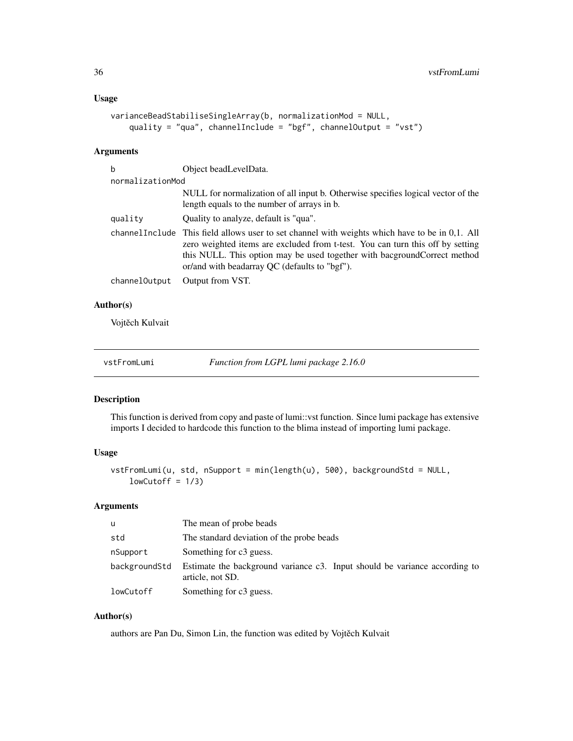```
varianceBeadStabiliseSingleArray(b, normalizationMod = NULL,
    quality = "qua", channelInclude = "bgf", channelOutput = "vst")
```
# Arguments

| b                | Object beadLevelData.                                                                                                                                                                                                                                                                                              |
|------------------|--------------------------------------------------------------------------------------------------------------------------------------------------------------------------------------------------------------------------------------------------------------------------------------------------------------------|
| normalizationMod |                                                                                                                                                                                                                                                                                                                    |
|                  | NULL for normalization of all input b. Otherwise specifies logical vector of the<br>length equals to the number of arrays in b.                                                                                                                                                                                    |
| quality          | Ouality to analyze, default is "qua".                                                                                                                                                                                                                                                                              |
|                  | channel Include This field allows user to set channel with weights which have to be in $0,1$ . All<br>zero weighted items are excluded from t-test. You can turn this off by setting<br>this NULL. This option may be used together with bacground Correct method<br>or/and with beadarray QC (defaults to "bgf"). |
| channelOutput    | Output from VST.                                                                                                                                                                                                                                                                                                   |

# Author(s)

Vojtěch Kulvait

vstFromLumi *Function from LGPL lumi package 2.16.0*

#### Description

This function is derived from copy and paste of lumi::vst function. Since lumi package has extensive imports I decided to hardcode this function to the blima instead of importing lumi package.

# Usage

```
vstFromLumi(u, std, nSupport = min(length(u), 500), backgroundStd = NULL,
    lowCutoff = 1/3)
```
#### Arguments

| u             | The mean of probe beads                                                                        |
|---------------|------------------------------------------------------------------------------------------------|
| std           | The standard deviation of the probe beads                                                      |
| nSupport      | Something for c3 guess.                                                                        |
| backgroundStd | Estimate the background variance c3. Input should be variance according to<br>article, not SD. |
| lowCutoff     | Something for c3 guess.                                                                        |

# Author(s)

authors are Pan Du, Simon Lin, the function was edited by Vojtěch Kulvait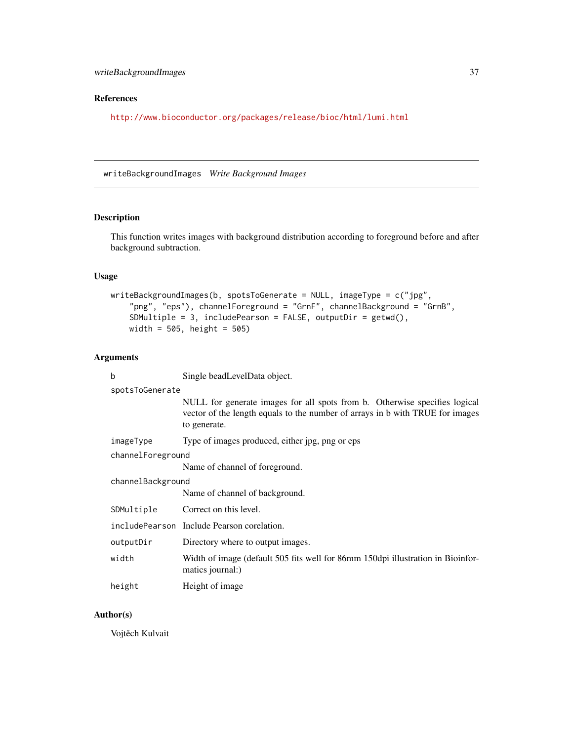# <span id="page-36-0"></span>References

<http://www.bioconductor.org/packages/release/bioc/html/lumi.html>

writeBackgroundImages *Write Background Images*

# Description

This function writes images with background distribution according to foreground before and after background subtraction.

#### Usage

```
writeBackgroundImages(b, spotsToGenerate = NULL, imageType = c("jpg",
    "png", "eps"), channelForeground = "GrnF", channelBackground = "GrnB",
    SDMultiple = 3, includePearson = FALSE, outputDir = getwd(),
   width = 505, height = 505)
```
#### Arguments

| b                 | Single beadLevelData object.                                                                                                                                                |  |
|-------------------|-----------------------------------------------------------------------------------------------------------------------------------------------------------------------------|--|
| spotsToGenerate   |                                                                                                                                                                             |  |
|                   | NULL for generate images for all spots from b. Otherwise specifies logical<br>vector of the length equals to the number of arrays in b with TRUE for images<br>to generate. |  |
| imageType         | Type of images produced, either jpg, png or eps                                                                                                                             |  |
| channelForeground |                                                                                                                                                                             |  |
|                   | Name of channel of foreground.                                                                                                                                              |  |
| channelBackground |                                                                                                                                                                             |  |
|                   | Name of channel of background.                                                                                                                                              |  |
| SDMultiple        | Correct on this level.                                                                                                                                                      |  |
|                   | includePearson Include Pearson corelation.                                                                                                                                  |  |
| outputDir         | Directory where to output images.                                                                                                                                           |  |
| width             | Width of image (default 505 fits well for 86mm 150dpi illustration in Bioinfor-<br>matics journal:)                                                                         |  |
| height            | Height of image                                                                                                                                                             |  |

#### Author(s)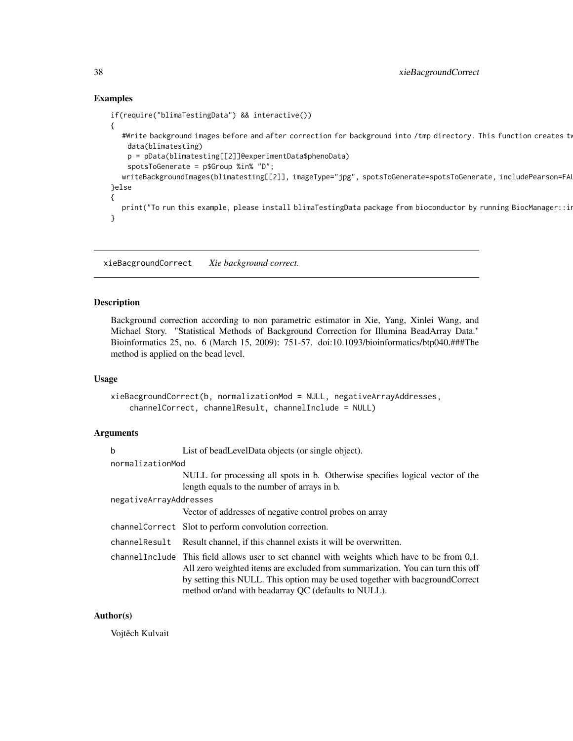# Examples

```
if(require("blimaTestingData") && interactive())
{
  #Write background images before and after correction for background into /tmp directory. This function creates tw
   data(blimatesting)
   p = pData(blimatesting[[2]]@experimentData$phenoData)
   spotsToGenerate = p$Group %in% "D";
  writeBackgroundImages(blimatesting[[2]], imageType="jpg", spotsToGenerate=spotsToGenerate, includePearson=FAI
}else
{
  print("To run this example, please install blimaTestingData package from bioconductor by running BiocManager::in
}
```
xieBacgroundCorrect *Xie background correct.*

# Description

Background correction according to non parametric estimator in Xie, Yang, Xinlei Wang, and Michael Story. "Statistical Methods of Background Correction for Illumina BeadArray Data." Bioinformatics 25, no. 6 (March 15, 2009): 751-57. doi:10.1093/bioinformatics/btp040.###The method is applied on the bead level.

#### Usage

```
xieBacgroundCorrect(b, normalizationMod = NULL, negativeArrayAddresses,
    channelCorrect, channelResult, channelInclude = NULL)
```
## Arguments

| b                      | List of bead Level Data objects (or single object).                                                                                                                                                                                                                                                                     |  |
|------------------------|-------------------------------------------------------------------------------------------------------------------------------------------------------------------------------------------------------------------------------------------------------------------------------------------------------------------------|--|
| normalizationMod       |                                                                                                                                                                                                                                                                                                                         |  |
|                        | NULL for processing all spots in b. Otherwise specifies logical vector of the<br>length equals to the number of arrays in b.                                                                                                                                                                                            |  |
| negativeArrayAddresses |                                                                                                                                                                                                                                                                                                                         |  |
|                        | Vector of addresses of negative control probes on array                                                                                                                                                                                                                                                                 |  |
|                        | channelCorrect Slot to perform convolution correction.                                                                                                                                                                                                                                                                  |  |
| channelResult          | Result channel, if this channel exists it will be overwritten.                                                                                                                                                                                                                                                          |  |
|                        | channel Include This field allows user to set channel with weights which have to be from 0,1.<br>All zero weighted items are excluded from summarization. You can turn this off<br>by setting this NULL. This option may be used together with bacground Correct<br>method or/and with beadarray QC (defaults to NULL). |  |

# Author(s)

<span id="page-37-0"></span>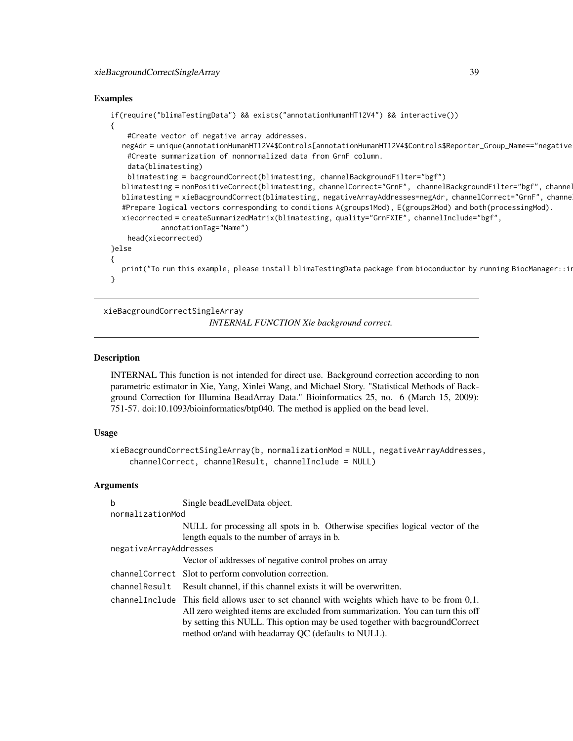# <span id="page-38-0"></span>xieBacgroundCorrectSingleArray 39

#### Examples

```
if(require("blimaTestingData") && exists("annotationHumanHT12V4") && interactive())
{
    #Create vector of negative array addresses.
  negAdr = unique(annotationHumanHT12V4$Controls[annotationHumanHT12V4$Controls$Reporter_Group_Name=="negative
   #Create summarization of nonnormalized data from GrnF column.
   data(blimatesting)
   blimatesting = bacgroundCorrect(blimatesting, channelBackgroundFilter="bgf")
  blimatesting = nonPositiveCorrect(blimatesting, channelCorrect="GrnF", channelBackgroundFilter="bgf", channe.
  blimatesting = xieBacgroundCorrect(blimatesting, negativeArrayAddresses=negAdr, channelCorrect="GrnF", channe
  #Prepare logical vectors corresponding to conditions A(groups1Mod), E(groups2Mod) and both(processingMod).
  xiecorrected = createSummarizedMatrix(blimatesting, quality="GrnFXIE", channelInclude="bgf",
            annotationTag="Name")
   head(xiecorrected)
}else
{
  print("To run this example, please install blimaTestingData package from bioconductor by running BiocManager::i
}
```
xieBacgroundCorrectSingleArray

*INTERNAL FUNCTION Xie background correct.*

#### Description

INTERNAL This function is not intended for direct use. Background correction according to non parametric estimator in Xie, Yang, Xinlei Wang, and Michael Story. "Statistical Methods of Background Correction for Illumina BeadArray Data." Bioinformatics 25, no. 6 (March 15, 2009): 751-57. doi:10.1093/bioinformatics/btp040. The method is applied on the bead level.

## Usage

```
xieBacgroundCorrectSingleArray(b, normalizationMod = NULL, negativeArrayAddresses,
    channelCorrect, channelResult, channelInclude = NULL)
```
#### Arguments

| b                      | Single bead Level Data object.                                                                                                                                                     |  |
|------------------------|------------------------------------------------------------------------------------------------------------------------------------------------------------------------------------|--|
| normalizationMod       |                                                                                                                                                                                    |  |
|                        | NULL for processing all spots in b. Otherwise specifies logical vector of the                                                                                                      |  |
|                        | length equals to the number of arrays in b.                                                                                                                                        |  |
| negativeArrayAddresses |                                                                                                                                                                                    |  |
|                        | Vector of addresses of negative control probes on array                                                                                                                            |  |
|                        | channel Correct Slot to perform convolution correction.                                                                                                                            |  |
|                        | channel Result Result channel, if this channel exists it will be overwritten.                                                                                                      |  |
|                        | channel Include This field allows user to set channel with weights which have to be from $0,1$ .<br>All zero weighted items are excluded from summarization. You can turn this off |  |
|                        | by setting this NULL. This option may be used together with bacground Correct                                                                                                      |  |
|                        | method or/and with beadarray QC (defaults to NULL).                                                                                                                                |  |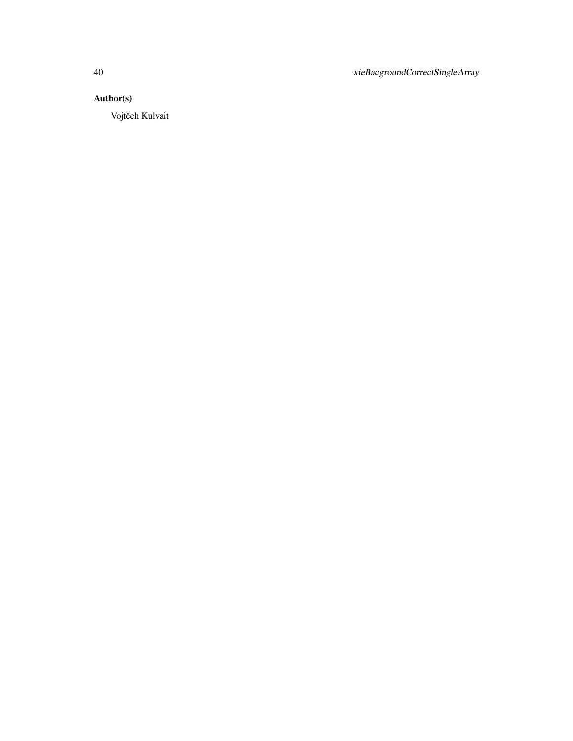40 xieBacgroundCorrectSingleArray

# Author(s)